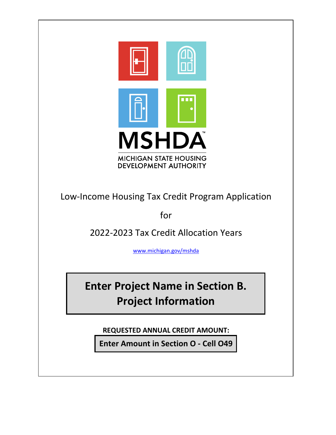

Low‐Income Housing Tax Credit Program Application

for

2022‐2023 Tax Credit Allocation Years

www.michigan.gov/mshda

**Enter Project Name in Section B. Project Information**

**REQUESTED ANNUAL CREDIT AMOUNT:**

**Enter Amount in Section O ‐ Cell O49**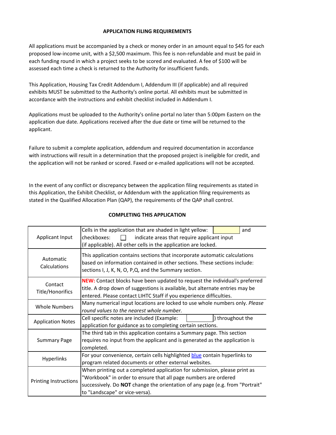#### **APPLICATION FILING REQUIREMENTS**

All applications must be accompanied by a check or money order in an amount equal to \$45 for each proposed low‐income unit, with a \$2,500 maximum. This fee is non‐refundable and must be paid in each funding round in which a project seeks to be scored and evaluated. A fee of \$100 will be assessed each time a check is returned to the Authority for insufficient funds.

This Application, Housing Tax Credit Addendum I, Addendum III (if applicable) and all required exhibits MUST be submitted to the Authority's online portal. All exhibits must be submitted in accordance with the instructions and exhibit checklist included in Addendum I.

Applications must be uploaded to the Authority's online portal no later than 5:00pm Eastern on the application due date. Applications received after the due date or time will be returned to the applicant.

Failure to submit a complete application, addendum and required documentation in accordance with instructions will result in a determination that the proposed project is ineligible for credit, and the application will not be ranked or scored. Faxed or e-mailed applications will not be accepted.

In the event of any conflict or discrepancy between the application filing requirements as stated in this Application, the Exhibit Checklist, or Addendum with the application filing requirements as stated in the Qualified Allocation Plan (QAP), the requirements of the QAP shall control.

| Applicant Input              | Cells in the application that are shaded in light yellow:<br>and<br>checkboxes:<br>indicate areas that require applicant input<br>(if applicable). All other cells in the application are locked.                                                               |  |  |  |  |
|------------------------------|-----------------------------------------------------------------------------------------------------------------------------------------------------------------------------------------------------------------------------------------------------------------|--|--|--|--|
| Automatic<br>Calculations    | This application contains sections that incorporate automatic calculations<br>based on information contained in other sections. These sections include:<br>sections I, J, K, N, O, P, Q, and the Summary section.                                               |  |  |  |  |
| Contact<br>Title/Honorifics  | <b>NEW:</b> Contact blocks have been updated to request the individual's preferred<br>title. A drop down of suggestions is available, but alternate entries may be<br>entered. Please contact LIHTC Staff if you experience difficulties.                       |  |  |  |  |
| <b>Whole Numbers</b>         | Many numerical input locations are locked to use whole numbers only. Please<br>round values to the nearest whole number.                                                                                                                                        |  |  |  |  |
| <b>Application Notes</b>     | throughout the<br>Cell specific notes are included (Example:<br>application for guidance as to completing certain sections.                                                                                                                                     |  |  |  |  |
| <b>Summary Page</b>          | The third tab in this application contains a Summary page. This section<br>requires no input from the applicant and is generated as the application is<br>completed.                                                                                            |  |  |  |  |
| <b>Hyperlinks</b>            | For your convenience, certain cells highlighted blue contain hyperlinks to<br>program related documents or other external websites.                                                                                                                             |  |  |  |  |
| <b>Printing Instructions</b> | When printing out a completed application for submission, please print as<br>"Workbook" in order to ensure that all page numbers are ordered<br>successively. Do NOT change the orientation of any page (e.g. from "Portrait"<br>to "Landscape" or vice-versa). |  |  |  |  |

## **COMPLETING THIS APPLICATION**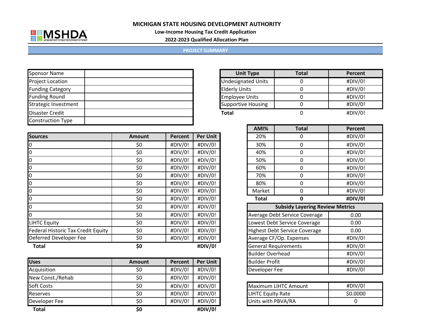

**Low‐Income Housing Tax Credit Application**

**2022‐2023 Qualified Allocation Plan**

#### **PROJECT SUMMARY**

| <b>Sponsor Name</b>         |  |
|-----------------------------|--|
| <b>Project Location</b>     |  |
| <b>Funding Category</b>     |  |
| <b>Funding Round</b>        |  |
| <b>Strategic Investment</b> |  |
| <b>Disaster Credit</b>      |  |
| <b>Construction Type</b>    |  |

| <b>Unit Type</b>          | <b>Total</b> | Percent |
|---------------------------|--------------|---------|
| <b>Undesignated Units</b> |              | #DIV/0! |
| <b>Elderly Units</b>      |              | #DIV/0! |
| <b>Employee Units</b>     |              | #DIV/0! |
| <b>Supportive Housing</b> |              | #DIV/0! |
| <b>Total</b>              |              | #DIV/0! |

| <b>Sources</b>                            | <b>Amount</b> | Percent | <b>Per Unit</b> | 20%                  |
|-------------------------------------------|---------------|---------|-----------------|----------------------|
| $\boldsymbol{0}$                          | \$0           | #DIV/0! | #DIV/0!         | 30%                  |
| $\overline{0}$                            | \$0           | #DIV/0! | #DIV/0!         | 40%                  |
| $\overline{0}$                            | \$0           | #DIV/0! | #DIV/0!         | 50%                  |
| $\overline{0}$                            | \$0           | #DIV/0! | #DIV/0!         | 60%                  |
| $\overline{10}$                           | \$0           | #DIV/0! | #DIV/0!         | 70%                  |
| $\mathsf{I}^0$                            | \$0           | #DIV/0! | #DIV/0!         | 80%                  |
| $\overline{0}$                            | \$0           | #DIV/0! | #DIV/0!         | Market               |
| $\overline{0}$                            | \$0           | #DIV/0! | #DIV/0!         | Total                |
| $\overline{0}$                            | \$0           | #DIV/0! | #DIV/0!         |                      |
| l0                                        | \$0           | #DIV/0! | #DIV/0!         | Average              |
| <b>LIHTC Equity</b>                       | \$0           | #DIV/0! | #DIV/0!         | Lowest D             |
| <b>Federal Historic Tax Credit Equity</b> | \$0           | #DIV/0! | #DIV/0!         | Highest <sup>[</sup> |
| Deferred Developer Fee                    | \$0           | #DIV/0! | #DIV/0!         | Average              |
| <b>Total</b>                              | \$0           |         | #DIV/0!         | General I            |

| <b>Uses</b>       | <b>Amount</b> | Percent | <b>Per Unit</b> | <b>Builder Profit</b>    |
|-------------------|---------------|---------|-----------------|--------------------------|
| Acquisition       | \$0           | #DIV/0! | #DIV/0!         | Developer Fee            |
| New Const./Rehab  | \$0           | #DIV/0! | #DIV/0!         |                          |
| <b>Soft Costs</b> | \$0           | #DIV/0! | #DIV/0!         | Maximum LIHTC A          |
| <b>Reserves</b>   | \$0           | #DIV/0! | #DIV/0!         | <b>LIHTC Equity Rate</b> |
| Developer Fee     | \$0           | #DIV/0! | #DIV/0!         | Units with PBVA/         |
| Total             | \$0           |         | #DIV/0!         |                          |

|        | AMI%   | <b>Total</b> | Percent |
|--------|--------|--------------|---------|
| r Unit | 20%    | 0            | #DIV/0! |
| IV/0!  | 30%    | O            | #DIV/0! |
| IV/0!  | 40%    | O            | #DIV/0! |
| IV/0!  | 50%    |              | #DIV/0! |
| IV/0!  | 60%    |              | #DIV/0! |
| IV/0!  | 70%    |              | #DIV/0! |
| IV/0!  | 80%    |              | #DIV/0! |
| IV/0!  | Market | ŋ            | #DIV/0! |
| IV/0!  | Total  |              | #DIV/0! |

| #DIV/0! | #DIV/0!         | <b>Subsidy Layering Review Metrics</b> |                                      |         |
|---------|-----------------|----------------------------------------|--------------------------------------|---------|
| #DIV/0! | #DIV/0!         |                                        | Average Debt Service Coverage        | 0.00    |
| #DIV/0! | #DIV/0!         |                                        | Lowest Debt Service Coverage         | 0.00    |
| #DIV/0! | #DIV/0!         |                                        | <b>Highest Debt Service Coverage</b> | 0.00    |
| #DIV/0! | #DIV/0!         |                                        | Average CF/Op. Expenses              | #DIV/0! |
|         | #DIV/0!         |                                        | <b>General Requirements</b>          | #DIV/0! |
|         |                 |                                        | <b>Builder Overhead</b>              | #DIV/0! |
| Percent | <b>Per Unit</b> |                                        | <b>Builder Profit</b>                | #DIV/0! |
| #DIV/0! | #DIV/0!         |                                        | Developer Fee                        | #DIV/0! |

| #DIV/0! | #DIV/0!     | <b>Maximum LIHTC Amount</b> | #DIV/0!  |
|---------|-------------|-----------------------------|----------|
| #DIV/0! | #DIV/0!     | LIHTC Equity Rate           | \$0,0000 |
| #DIV/0! | $\#$ DIV/0! | Units with PBVA/RA          |          |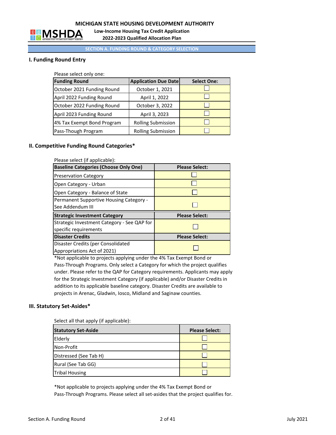

**2022‐2023 Qualified Allocation Plan Low‐Income Housing Tax Credit Application**

**SECTION A. FUNDING ROUND & CATEGORY SELECTION**

#### **I. Funding Round Entry**

Please select only one:

| <b>Funding Round</b>       | <b>Application Due Date</b> | <b>Select One:</b> |
|----------------------------|-----------------------------|--------------------|
| October 2021 Funding Round | October 1, 2021             |                    |
| April 2022 Funding Round   | April 1, 2022               |                    |
| October 2022 Funding Round | October 3, 2022             |                    |
| April 2023 Funding Round   | April 3, 2023               |                    |
| 4% Tax Exempt Bond Program | <b>Rolling Submission</b>   |                    |
| Pass-Though Program        | <b>Rolling Submission</b>   |                    |

#### **II. Competitive Funding Round Categories\***

| Please select (if applicable):               |                       |
|----------------------------------------------|-----------------------|
| <b>Baseline Categories (Choose Only One)</b> | <b>Please Select:</b> |
| <b>Preservation Category</b>                 |                       |
| Open Category - Urban                        |                       |
| Open Category - Balance of State             |                       |
| Permanent Supportive Housing Category -      |                       |
|                                              |                       |
| See Addendum III                             |                       |
| <b>Strategic Investment Category</b>         | <b>Please Select:</b> |
| Strategic Investment Category - See QAP for  |                       |
| specific requirements                        |                       |
| <b>Disaster Credits</b>                      | <b>Please Select:</b> |
| Disaster Credits (per Consolidated           |                       |

\*Not applicable to projects applying under the 4% Tax Exempt Bond or Pass‐Through Programs. Only select a Category for which the project qualifies under. Please refer to the QAP for Category requirements. Applicants may apply for the Strategic Investment Category (if applicable) and/or Disaster Credits in addition to its applicable baseline category. Disaster Credits are available to projects in Arenac, Gladwin, Iosco, Midland and Saginaw counties.

#### **III. Statutory Set‐Asides\***

Select all that apply (if applicable):

| <b>Statutory Set-Aside</b> | <b>Please Select:</b> |
|----------------------------|-----------------------|
| Elderly                    |                       |
| Non-Profit                 |                       |
| Distressed (See Tab H)     |                       |
| Rural (See Tab GG)         |                       |
| <b>Tribal Housing</b>      |                       |

\*Not applicable to projects applying under the 4% Tax Exempt Bond or Pass-Through Programs. Please select all set-asides that the project qualifies for.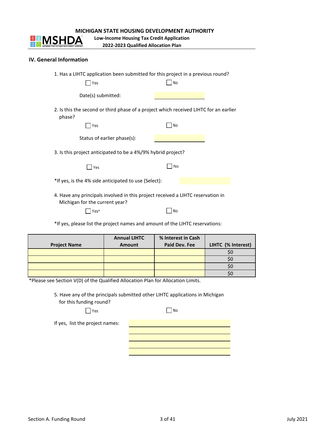

**Low‐Income Housing Tax Credit Application**

**2022‐2023 Qualified Allocation Plan**

#### **IV. General Information**

| 1. Has a LIHTC application been submitted for this project in a previous round?<br>Yes                            | No        |
|-------------------------------------------------------------------------------------------------------------------|-----------|
| Date(s) submitted:                                                                                                |           |
| 2. Is this the second or third phase of a project which received LIHTC for an earlier<br>phase?                   |           |
| Yes                                                                                                               | <b>No</b> |
| Status of earlier phase(s):                                                                                       |           |
| 3. Is this project anticipated to be a 4%/9% hybrid project?                                                      |           |
| Yes                                                                                                               | No        |
| *If yes, is the 4% side anticipated to use (Select):                                                              |           |
| 4. Have any principals involved in this project received a LIHTC reservation in<br>Michigan for the current year? |           |

|--|--|

\*If yes, please list the project names and amount of the LIHTC reservations:

| <b>Project Name</b> | <b>Annual LIHTC</b><br>Amount | % Interest in Cash<br>Paid Dev. Fee | LIHTC (% Interest) |
|---------------------|-------------------------------|-------------------------------------|--------------------|
|                     |                               |                                     |                    |
|                     |                               |                                     |                    |
|                     |                               |                                     |                    |
|                     |                               |                                     |                    |

\*Please see Section V(D) of the Qualified Allocation Plan for Allocation Limits.

5. Have any of the principals submitted other LIHTC applications in Michigan for this funding round?

 $\Box$  Yes  $\Box$  No

 $\Box$  No

If yes, list the project names: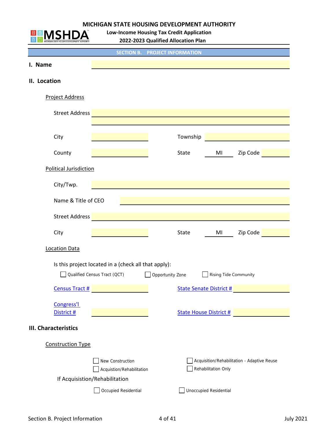

**Low‐Income Housing Tax Credit Application**

**2022‐2023 Qualified Allocation Plan**

|                             | <b>SECTION B.</b>                                    | <b>PROJECT INFORMATION</b> |                                |                                             |
|-----------------------------|------------------------------------------------------|----------------------------|--------------------------------|---------------------------------------------|
| I. Name                     |                                                      |                            |                                |                                             |
| II. Location                |                                                      |                            |                                |                                             |
| <b>Project Address</b>      |                                                      |                            |                                |                                             |
| <b>Street Address</b>       |                                                      |                            |                                |                                             |
| City                        |                                                      | Township                   |                                |                                             |
| County                      |                                                      | State                      | MI                             | Zip Code                                    |
| Political Jurisdiction      |                                                      |                            |                                |                                             |
| City/Twp.                   |                                                      |                            |                                |                                             |
| Name & Title of CEO         |                                                      |                            |                                |                                             |
| <b>Street Address</b>       |                                                      |                            |                                |                                             |
| City                        |                                                      | State                      | MI                             | Zip Code                                    |
| Location Data               |                                                      |                            |                                |                                             |
|                             | Is this project located in a (check all that apply): |                            |                                |                                             |
|                             | Qualified Census Tract (QCT)                         | Opportunity Zone           | <b>Rising Tide Community</b>   |                                             |
| <b>Census Tract #</b>       |                                                      |                            | <b>State Senate District #</b> |                                             |
| Congress'l                  |                                                      |                            |                                |                                             |
| District #                  |                                                      |                            | <b>State House District #</b>  |                                             |
| <b>III. Characteristics</b> |                                                      |                            |                                |                                             |
| <b>Construction Type</b>    |                                                      |                            |                                |                                             |
|                             | New Construction<br>Acquistion/Rehabilitation        |                            | Rehabilitation Only            | Acquisition/Rehabilitation - Adaptive Reuse |
|                             | If Acquisistion/Rehabilitation                       |                            |                                |                                             |
|                             | Occupied Residential                                 |                            | Unoccupied Residential         |                                             |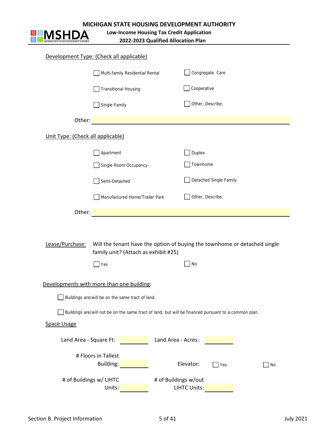

# **MICHIGAN STATE HOUSING DEVELOPMENT AUTHORITY**<br>
Low-Income Housing Tax Credit Application<br>
2022-2023 Qualified Allocation Plan

## **Low‐Income Housing Tax Credit Application** ™

**2022‐2023 Qualified Allocation Plan**

|                                   | Development Type: (Check all applicable)         |                                                                                                      |    |
|-----------------------------------|--------------------------------------------------|------------------------------------------------------------------------------------------------------|----|
|                                   | Multi-family Residential Rental                  | Congregate Care                                                                                      |    |
|                                   | <b>Transitional Housing</b>                      | Cooperative                                                                                          |    |
|                                   | Single Family                                    | Other, Describe:                                                                                     |    |
| Other:                            |                                                  |                                                                                                      |    |
| Unit Type: (Check all applicable) |                                                  |                                                                                                      |    |
|                                   | Apartment                                        | Duplex                                                                                               |    |
|                                   | Single Room Occupancy                            | Townhome                                                                                             |    |
|                                   | Semi-Detached                                    | Detached Single Family                                                                               |    |
|                                   | Manufactured Home/Trailer Park                   | Other, Describe:                                                                                     |    |
| Other:                            |                                                  |                                                                                                      |    |
|                                   |                                                  |                                                                                                      |    |
| Lease/Purchase:                   | family unit? (Attach as exhibit #25)             | Will the tenant have the option of buying the townhome or detached single                            |    |
|                                   | Yes                                              | No                                                                                                   |    |
|                                   | Developments with more than one building:        |                                                                                                      |    |
|                                   | Buildings are/will be on the same tract of land. |                                                                                                      |    |
|                                   |                                                  | Buildings are/will not be on the same tract of land, but will be financed pursuant to a common plan. |    |
| <b>Space Usage</b>                |                                                  |                                                                                                      |    |
| Land Area - Square Ft:            |                                                  | Land Area - Acres:                                                                                   |    |
|                                   | # Floors in Tallest<br>Building:                 | Elevator:<br>Yes                                                                                     | No |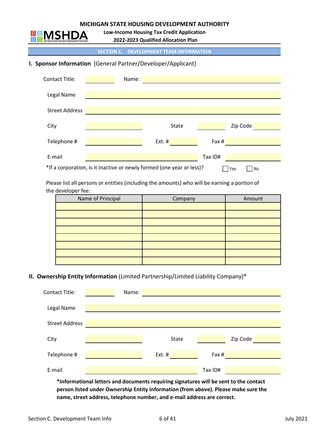**Low‐Income Housing Tax Credit Application**

**2022‐2023 Qualified Allocation Plan**

**SECTION C. DEVELOPMENT TEAM INFORMATION**

## **I. Sponsor Information** (General Partner/Developer/Applicant)

**MSHDA** 

| <b>Contact Title:</b> | Name: |                                                                       |         |           |
|-----------------------|-------|-----------------------------------------------------------------------|---------|-----------|
| Legal Name            |       |                                                                       |         |           |
| <b>Street Address</b> |       |                                                                       |         |           |
| City                  |       | State                                                                 |         | Zip Code  |
| Telephone #           |       | Ext. $#$                                                              | Fax#    |           |
| E-mail                |       |                                                                       | Tax ID# |           |
|                       |       | *If a corporation, is it inactive or newly formed (one year or less)? |         | Yes<br>No |

 Please list all persons or entities (including the amounts) who will be earning a portion of the developer fee:

| Name of Principal | Company | Amount |
|-------------------|---------|--------|
|                   |         |        |
|                   |         |        |
|                   |         |        |
|                   |         |        |
|                   |         |        |
|                   |         |        |
|                   |         |        |
|                   |         |        |

**II. Ownership Entity Information** (Limited Partnership/Limited Liability Company)\*

| Contact Title:        | Name: |          |         |          |
|-----------------------|-------|----------|---------|----------|
| Legal Name            |       |          |         |          |
| <b>Street Address</b> |       |          |         |          |
| City                  |       | State    |         | Zip Code |
| Telephone #           |       | Ext. $#$ | Fax $#$ |          |
| E-mail                |       |          | Tax ID# |          |

**\*Informational letters and documents requiring signatures will be sent to the contact person listed under Ownership Entity Information (from above). Please make sure the name, street address, telephone number, and e‐mail address are correct.**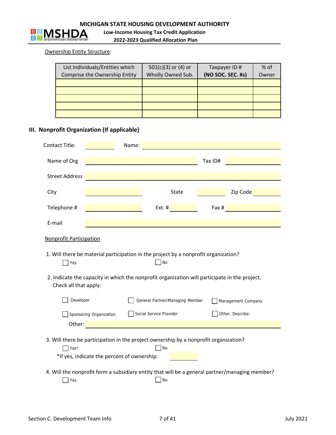

#### Ownership Entity Structure:

| List Individuals/Entities which | $501(c)(3)$ or $(4)$ or | Taxpayer ID#      | $%$ of |
|---------------------------------|-------------------------|-------------------|--------|
| Comprise the Ownership Entity   | Wholly Owned Sub.       | (NO SOC. SEC. #s) | Owner  |
|                                 |                         |                   |        |
|                                 |                         |                   |        |
|                                 |                         |                   |        |
|                                 |                         |                   |        |
|                                 |                         |                   |        |

## **III. Nonprofit Organization (If applicable)**

| <b>Contact Title:</b>                       |                                                                                                                                                                                      | Name:                           |       |         |                                                                                                |
|---------------------------------------------|--------------------------------------------------------------------------------------------------------------------------------------------------------------------------------------|---------------------------------|-------|---------|------------------------------------------------------------------------------------------------|
| Name of Org                                 |                                                                                                                                                                                      |                                 |       | Tax ID# |                                                                                                |
| <b>Street Address</b>                       |                                                                                                                                                                                      |                                 |       |         |                                                                                                |
| City                                        |                                                                                                                                                                                      |                                 | State |         | Zip Code                                                                                       |
| Telephone #                                 |                                                                                                                                                                                      | Ext.#                           |       | Fax #   |                                                                                                |
| E-mail                                      |                                                                                                                                                                                      |                                 |       |         |                                                                                                |
| <b>Nonprofit Participation</b>              |                                                                                                                                                                                      |                                 |       |         |                                                                                                |
| $\blacksquare$ Yes<br>Check all that apply: | 1. Will there be material participation in the project by a nonprofit organization?<br>2. Indicate the capacity in which the nonprofit organization will participate in the project. | No                              |       |         |                                                                                                |
| Developer                                   |                                                                                                                                                                                      | General Partner/Managing Member |       |         | Management Company                                                                             |
|                                             | Sponsoring Organization                                                                                                                                                              | Social Service Provider         |       |         | Other, Describe:                                                                               |
| Other:                                      |                                                                                                                                                                                      |                                 |       |         |                                                                                                |
| $\overline{\phantom{a}}$ Yes <sup>*</sup>   | 3. Will there be participation in the project ownership by a nonprofit organization?<br>*If yes, indicate the percent of ownership:                                                  | No                              |       |         |                                                                                                |
| $\sqrt{1 + 2}$                              |                                                                                                                                                                                      | No                              |       |         | 4. Will the nonprofit form a subsidiary entity that will be a general partner/managing member? |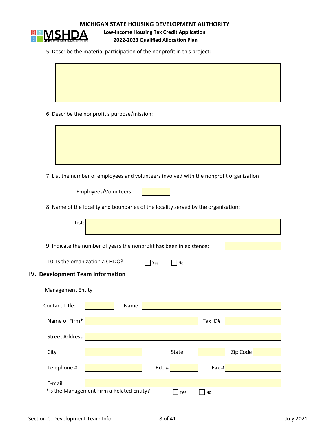

**Low‐Income Housing Tax Credit Application 2022‐2023 Qualified Allocation Plan**

5. Describe the material participation of the nonprofit in this project:

6. Describe the nonprofit's purpose/mission:

7. List the number of employees and volunteers involved with the nonprofit organization:

Employees/Volunteers:

8. Name of the locality and boundaries of the locality served by the organization:

| List:                                                                |       |          |           |           |          |
|----------------------------------------------------------------------|-------|----------|-----------|-----------|----------|
| 9. Indicate the number of years the nonprofit has been in existence: |       |          |           |           |          |
| 10. Is the organization a CHDO?                                      |       | Yes      | <b>No</b> |           |          |
| IV. Development Team Information                                     |       |          |           |           |          |
| <b>Management Entity</b>                                             |       |          |           |           |          |
| <b>Contact Title:</b>                                                | Name: |          |           |           |          |
| Name of Firm*                                                        |       |          |           | Tax ID#   |          |
| <b>Street Address</b>                                                |       |          |           |           |          |
| City                                                                 |       |          | State     |           | Zip Code |
| Telephone #                                                          |       | Ext. $#$ |           | Fax $#$   |          |
| E-mail<br>*Is the Management Firm a Related Entity?                  |       |          | Yes       | <b>No</b> |          |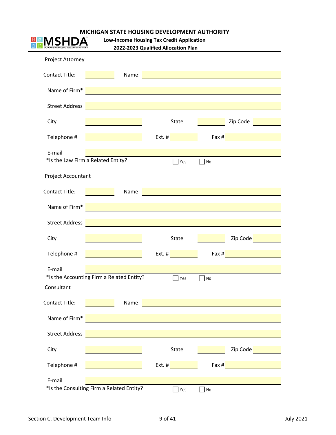|                                                     |       | MICHIGAN STATE HOUSING DEVELOPMENT AUTHORITY      |               |          |
|-----------------------------------------------------|-------|---------------------------------------------------|---------------|----------|
|                                                     |       | <b>Low-Income Housing Tax Credit Application</b>  |               |          |
|                                                     |       | 2022-2023 Qualified Allocation Plan               |               |          |
| Project Attorney                                    |       |                                                   |               |          |
| <b>Contact Title:</b>                               | Name: |                                                   |               |          |
| Name of Firm*                                       |       | <u> 1980 - Johann Barnett, fransk politiker (</u> |               |          |
| <b>Street Address</b>                               |       |                                                   |               |          |
| City                                                |       | State                                             |               | Zip Code |
| Telephone #                                         |       | Ext. #                                            | Fax #         |          |
| E-mail                                              |       |                                                   |               |          |
| *Is the Law Firm a Related Entity?                  |       | Yes                                               | <b>No</b>     |          |
|                                                     |       |                                                   |               |          |
| <b>Project Accountant</b>                           |       |                                                   |               |          |
| <b>Contact Title:</b>                               | Name: |                                                   |               |          |
| Name of Firm*                                       |       |                                                   |               |          |
| <b>Street Address</b>                               |       |                                                   |               |          |
| City                                                |       | State                                             |               | Zip Code |
| Telephone #                                         |       | $Ext.$ #                                          | Fax #         |          |
| E-mail                                              |       |                                                   |               |          |
| *Is the Accounting Firm a Related Entity?           |       | Yes                                               | <b>No</b>     |          |
| Consultant                                          |       |                                                   |               |          |
| <b>Contact Title:</b>                               | Name: |                                                   |               |          |
|                                                     |       |                                                   |               |          |
| Name of Firm*                                       |       |                                                   |               |          |
| <b>Street Address</b>                               |       |                                                   |               |          |
| City                                                |       | State                                             |               | Zip Code |
| Telephone #                                         |       | Ext. #                                            | Fax #         |          |
|                                                     |       |                                                   |               |          |
| E-mail<br>*Is the Consulting Firm a Related Entity? |       | Yes                                               | $\mathsf{No}$ |          |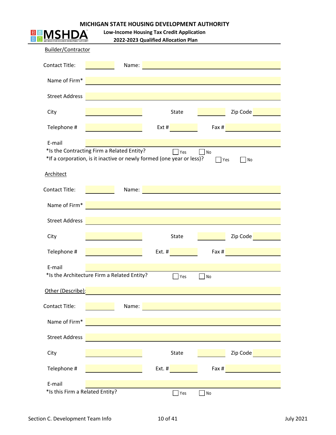

**Low‐Income Housing Tax Credit Application**

**2022‐2023 Qualified Allocation Plan**

| Builder/Contractor              |                                                                                                                     |          |                                |
|---------------------------------|---------------------------------------------------------------------------------------------------------------------|----------|--------------------------------|
| <b>Contact Title:</b>           | Name:                                                                                                               |          |                                |
| Name of Firm*                   |                                                                                                                     |          |                                |
| <b>Street Address</b>           |                                                                                                                     |          |                                |
| City                            |                                                                                                                     | State    | Zip Code                       |
|                                 |                                                                                                                     |          |                                |
| Telephone #                     |                                                                                                                     | Ext#     | Fax $#$                        |
| E-mail                          |                                                                                                                     |          |                                |
| Architect                       | *Is the Contracting Firm a Related Entity?<br>*If a corporation, is it inactive or newly formed (one year or less)? | Yes      | No<br>Yes<br>$\blacksquare$ No |
| <b>Contact Title:</b>           | Name:                                                                                                               |          |                                |
| Name of Firm*                   |                                                                                                                     |          |                                |
| <b>Street Address</b>           |                                                                                                                     |          |                                |
|                                 |                                                                                                                     |          |                                |
| City                            |                                                                                                                     | State    | Zip Code                       |
| Telephone #                     |                                                                                                                     | $Ext.$ # | Fax #                          |
| E-mail                          |                                                                                                                     |          |                                |
|                                 | *Is the Architecture Firm a Related Entity?                                                                         | Yes      | No                             |
| Other (Describe):               |                                                                                                                     |          |                                |
| <b>Contact Title:</b>           | Name:                                                                                                               |          |                                |
| Name of Firm*                   |                                                                                                                     |          |                                |
| <b>Street Address</b>           |                                                                                                                     |          |                                |
| City                            |                                                                                                                     | State    | Zip Code                       |
| Telephone #                     |                                                                                                                     | $Ext.$ # | Fax $#$                        |
|                                 |                                                                                                                     |          |                                |
| E-mail                          |                                                                                                                     |          |                                |
| *Is this Firm a Related Entity? |                                                                                                                     | Yes      | $\Box$ No                      |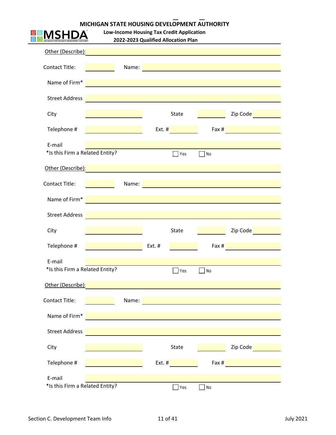

**Low‐Income Housing Tax Credit Application**

**2022‐2023 Qualified Allocation Plan**

| Other (Describe):                                                                                                                                                                                                                    |       |          |                                  |                                                                                                                                                                                                                               |                                                   |
|--------------------------------------------------------------------------------------------------------------------------------------------------------------------------------------------------------------------------------------|-------|----------|----------------------------------|-------------------------------------------------------------------------------------------------------------------------------------------------------------------------------------------------------------------------------|---------------------------------------------------|
| <b>Contact Title:</b>                                                                                                                                                                                                                | Name: |          |                                  |                                                                                                                                                                                                                               | <u> 1980 - Jan Stein, Amerikaansk politiker (</u> |
| Name of Firm*                                                                                                                                                                                                                        |       |          |                                  | <u> 1980 - Jan Stein Stein Stein Stein Stein Stein Stein Stein Stein Stein Stein Stein Stein Stein Stein Stein S</u>                                                                                                          |                                                   |
| <b>Street Address</b>                                                                                                                                                                                                                |       |          |                                  |                                                                                                                                                                                                                               |                                                   |
| City                                                                                                                                                                                                                                 |       |          | State                            |                                                                                                                                                                                                                               | Zip Code <b>Communist Contract Contract</b>       |
| Telephone #                                                                                                                                                                                                                          |       |          |                                  |                                                                                                                                                                                                                               | Fax # 2008 and 2008 and 2008                      |
| E-mail                                                                                                                                                                                                                               |       |          |                                  |                                                                                                                                                                                                                               |                                                   |
| *Is this Firm a Related Entity?                                                                                                                                                                                                      |       |          | Yes                              | $\Box$ No                                                                                                                                                                                                                     |                                                   |
| <u>Other (Describe): Electronic and the contract of the contract of the contract of the contract of the contract of the contract of the contract of the contract of the contract of the contract of the contract of the contract</u> |       |          |                                  |                                                                                                                                                                                                                               |                                                   |
| <b>Contact Title:</b>                                                                                                                                                                                                                |       |          |                                  | Name: Name: Name: Name: Name: Name: Name: Name: Name: Name: Name: Name: Name: Name: Name: Name: Name: Name: Name: Name: Name: Name: Name: Name: Name: Name: Name: Name: Name: Name: Name: Name: Name: Name: Name: Name: Name: |                                                   |
| Name of Firm*                                                                                                                                                                                                                        |       |          |                                  | <u> 1989 - Johann Barbara, martxa a</u>                                                                                                                                                                                       |                                                   |
| <b>Street Address</b>                                                                                                                                                                                                                |       |          |                                  |                                                                                                                                                                                                                               |                                                   |
| City                                                                                                                                                                                                                                 |       |          | State                            |                                                                                                                                                                                                                               | Zip Code                                          |
| Telephone #                                                                                                                                                                                                                          |       | $Ext.$ # |                                  | Fax $#$                                                                                                                                                                                                                       |                                                   |
| E-mail                                                                                                                                                                                                                               |       |          |                                  |                                                                                                                                                                                                                               |                                                   |
| *Is this Firm a Related Entity?                                                                                                                                                                                                      |       |          | Yes                              | <b>No</b>                                                                                                                                                                                                                     |                                                   |
| Other (Describe):                                                                                                                                                                                                                    |       |          |                                  |                                                                                                                                                                                                                               |                                                   |
| Contact Title:                                                                                                                                                                                                                       |       |          |                                  | Name: Name: Name: Name: Name: Name: Name: Name: Name: Name: Name: Name: Name: Name: Name: Name: Name: Name: Name: Name: Name: Name: Name: Name: Name: Name: Name: Name: Name: Name: Name: Name: Name: Name: Name: Name: Name: |                                                   |
| Name of Firm*                                                                                                                                                                                                                        |       |          |                                  |                                                                                                                                                                                                                               |                                                   |
| <b>Street Address</b>                                                                                                                                                                                                                |       |          |                                  |                                                                                                                                                                                                                               |                                                   |
| City                                                                                                                                                                                                                                 |       |          | State                            |                                                                                                                                                                                                                               | Zip Code                                          |
| Telephone #                                                                                                                                                                                                                          |       |          | $\mathsf{Ext.}$ # $\blacksquare$ |                                                                                                                                                                                                                               | Fax # 2008 and 2008 and 2008                      |
| E-mail                                                                                                                                                                                                                               |       |          |                                  |                                                                                                                                                                                                                               |                                                   |
| *Is this Firm a Related Entity?                                                                                                                                                                                                      |       |          | Yes                              | No                                                                                                                                                                                                                            |                                                   |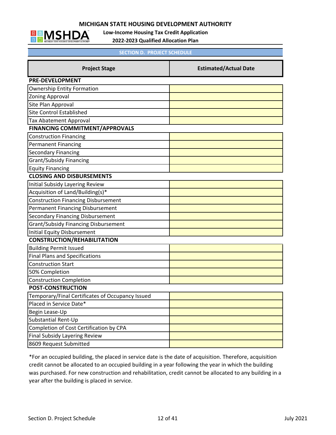

**Low‐Income Housing Tax Credit Application**

**2022‐2023 Qualified Allocation Plan**

| <b>SECTION D. PROJECT SCHEDULE</b>               |                              |  |  |  |
|--------------------------------------------------|------------------------------|--|--|--|
| <b>Project Stage</b>                             | <b>Estimated/Actual Date</b> |  |  |  |
| <b>PRE-DEVELOPMENT</b>                           |                              |  |  |  |
| <b>Ownership Entity Formation</b>                |                              |  |  |  |
| <b>Zoning Approval</b>                           |                              |  |  |  |
| Site Plan Approval                               |                              |  |  |  |
| <b>Site Control Established</b>                  |                              |  |  |  |
| <b>Tax Abatement Approval</b>                    |                              |  |  |  |
| <b>FINANCING COMMITMENT/APPROVALS</b>            |                              |  |  |  |
| <b>Construction Financing</b>                    |                              |  |  |  |
| <b>Permanent Financing</b>                       |                              |  |  |  |
| <b>Secondary Financing</b>                       |                              |  |  |  |
| <b>Grant/Subsidy Financing</b>                   |                              |  |  |  |
| <b>Equity Financing</b>                          |                              |  |  |  |
| <b>CLOSING AND DISBURSEMENTS</b>                 |                              |  |  |  |
| <b>Initial Subsidy Layering Review</b>           |                              |  |  |  |
| Acquisition of Land/Building(s)*                 |                              |  |  |  |
| <b>Construction Financing Disbursement</b>       |                              |  |  |  |
| <b>Permanent Financing Disbursement</b>          |                              |  |  |  |
| <b>Secondary Financing Disbursement</b>          |                              |  |  |  |
| <b>Grant/Subsidy Financing Disbursement</b>      |                              |  |  |  |
| <b>Initial Equity Disbursement</b>               |                              |  |  |  |
| <b>CONSTRUCTION/REHABILITATION</b>               |                              |  |  |  |
| <b>Building Permit Issued</b>                    |                              |  |  |  |
| <b>Final Plans and Specifications</b>            |                              |  |  |  |
| <b>Construction Start</b>                        |                              |  |  |  |
| 50% Completion                                   |                              |  |  |  |
| <b>Construction Completion</b>                   |                              |  |  |  |
| <b>POST-CONSTRUCTION</b>                         |                              |  |  |  |
| Temporary/Final Certificates of Occupancy Issued |                              |  |  |  |
| Placed in Service Date*                          |                              |  |  |  |
| Begin Lease-Up                                   |                              |  |  |  |
| Substantial Rent-Up                              |                              |  |  |  |
| Completion of Cost Certification by CPA          |                              |  |  |  |
| <b>Final Subsidy Layering Review</b>             |                              |  |  |  |
| 8609 Request Submitted                           |                              |  |  |  |

\*For an occupied building, the placed in service date is the date of acquisition. Therefore, acquisition credit cannot be allocated to an occupied building in a year following the year in which the building was purchased. For new construction and rehabilitation, credit cannot be allocated to any building in a year after the building is placed in service.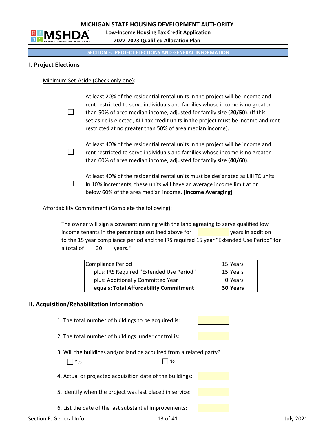

**2022‐2023 Qualified Allocation Plan Low‐Income Housing Tax Credit Application**

## **SECTION E. PROJECT ELECTIONS AND GENERAL INFORMATION**

## **I. Project Elections**

#### Minimum Set‐Aside (Check only one):

| At least 20% of the residential rental units in the project will be income and<br>rent restricted to serve individuals and families whose income is no greater<br>than 50% of area median income, adjusted for family size (20/50). (If this<br>set-aside is elected, ALL tax credit units in the project must be income and rent<br>restricted at no greater than 50% of area median income). |
|------------------------------------------------------------------------------------------------------------------------------------------------------------------------------------------------------------------------------------------------------------------------------------------------------------------------------------------------------------------------------------------------|
| At least 40% of the residential rental units in the project will be income and<br>rent restricted to serve individuals and families whose income is no greater<br>than 60% of area median income, adjusted for family size (40/60).                                                                                                                                                            |
| At least 40% of the residential rental units must be designated as LIHTC units.<br>In 10% increments, these units will have an average income limit at or<br>below 60% of the area median income. (Income Averaging)                                                                                                                                                                           |

#### Affordability Commitment (Complete the following):

 The owner will sign a covenant running with the land agreeing to serve qualified low income tenants in the percentage outlined above for  $\blacksquare$  years in addition to the 15 year compliance period and the IRS required 15 year "Extended Use Period" for a total of 30 years.\*

| Compliance Period                        | 15 Years        |
|------------------------------------------|-----------------|
| plus: IRS Required "Extended Use Period" | 15 Years        |
| plus: Additionally Committed Year        | 0 Years         |
| equals: Total Affordability Commitment   | <b>30 Years</b> |

#### **II. Acquisition/Rehabilitation Information**

| 1. The total number of buildings to be acquired is:                               |  |                  |
|-----------------------------------------------------------------------------------|--|------------------|
| 2. The total number of buildings under control is:                                |  |                  |
| 3. Will the buildings and/or land be acquired from a related party?<br>No.<br>Yes |  |                  |
| 4. Actual or projected acquisition date of the buildings:                         |  |                  |
| 5. Identify when the project was last placed in service:                          |  |                  |
| 6. List the date of the last substantial improvements:                            |  |                  |
| Section E. General Info<br>13 of 41                                               |  | <b>July 2021</b> |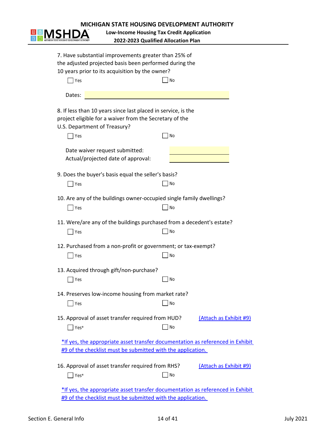

**2022‐2023 Qualified Allocation Plan Low‐Income Housing Tax Credit Application**

| 7. Have substantial improvements greater than 25% of<br>the adjusted projected basis been performed during the                                           |    |                        |
|----------------------------------------------------------------------------------------------------------------------------------------------------------|----|------------------------|
| 10 years prior to its acquisition by the owner?                                                                                                          |    |                        |
| Yes                                                                                                                                                      | No |                        |
| Dates:                                                                                                                                                   |    |                        |
| 8. If less than 10 years since last placed in service, is the<br>project eligible for a waiver from the Secretary of the<br>U.S. Department of Treasury? |    |                        |
| Yes                                                                                                                                                      | No |                        |
| Date waiver request submitted:<br>Actual/projected date of approval:                                                                                     |    |                        |
| 9. Does the buyer's basis equal the seller's basis?                                                                                                      |    |                        |
| Yes                                                                                                                                                      | No |                        |
| 10. Are any of the buildings owner-occupied single family dwellings?<br>$\blacksquare$ Yes                                                               | No |                        |
| 11. Were/are any of the buildings purchased from a decedent's estate?<br>Yes                                                                             | No |                        |
| 12. Purchased from a non-profit or government; or tax-exempt?<br>Yes                                                                                     | No |                        |
| 13. Acquired through gift/non-purchase?<br><b>Yes</b>                                                                                                    | No |                        |
| 14. Preserves low-income housing from market rate?                                                                                                       |    |                        |
| Yes<br>15. Approval of asset transfer required from HUD?                                                                                                 | No | (Attach as Exhibit #9) |
| Yes*                                                                                                                                                     | No |                        |
| *If yes, the appropriate asset transfer documentation as referenced in Exhibit<br>#9 of the checklist must be submitted with the application.            |    |                        |
| 16. Approval of asset transfer required from RHS?<br>Yes*                                                                                                | No | (Attach as Exhibit #9) |
| *If yes, the appropriate asset transfer documentation as referenced in Exhibit                                                                           |    |                        |

#9 of the checklist must be submitted with the application.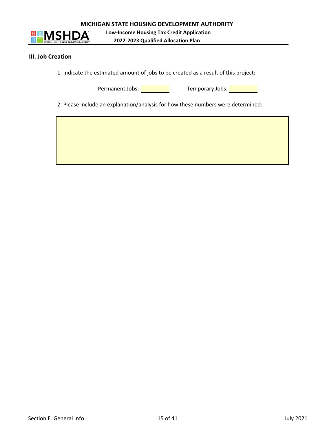



**Low‐Income Housing Tax Credit Application 2022‐2023 Qualified Allocation Plan**

#### **III. Job Creation**

1. Indicate the estimated amount of jobs to be created as a result of this project:

Permanent Jobs: <u>New York: Temporary Jobs: New York: New York: New York: New York: New York: New York: New York: New York: New York: New York: New York: New York: New York: New York: New York: New York: New York: New York:</u>

2. Please include an explanation/analysis for how these numbers were determined: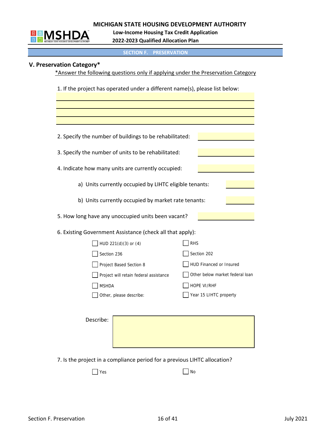

 **Low‐Income Housing Tax Credit Application 2022‐2023 Qualified Allocation Plan**

**SECTION F. PRESERVATION**

## **V. Preservation Category\***

\*Answer the following questions only if applying under the Preservation Category

1. If the project has operated under a different name(s), please list below:

| 2. Specify the number of buildings to be rehabilitated:                   |                                 |  |  |  |
|---------------------------------------------------------------------------|---------------------------------|--|--|--|
| 3. Specify the number of units to be rehabilitated:                       |                                 |  |  |  |
| 4. Indicate how many units are currently occupied:                        |                                 |  |  |  |
| a) Units currently occupied by LIHTC eligible tenants:                    |                                 |  |  |  |
| b) Units currently occupied by market rate tenants:                       |                                 |  |  |  |
| 5. How long have any unoccupied units been vacant?                        |                                 |  |  |  |
| 6. Existing Government Assistance (check all that apply):                 |                                 |  |  |  |
| HUD 221(d)(3) or (4)                                                      | <b>RHS</b>                      |  |  |  |
| Section 236                                                               | Section 202                     |  |  |  |
| Project Based Section 8                                                   | HUD Financed or Insured         |  |  |  |
| Project will retain federal assistance                                    | Other below market federal loan |  |  |  |
| <b>MSHDA</b>                                                              | HOPE VI/RHF                     |  |  |  |
| Other, please describe:                                                   | Year 15 LIHTC property          |  |  |  |
| Describe:                                                                 |                                 |  |  |  |
| 7. Is the project in a compliance period for a previous LIHTC allocation? |                                 |  |  |  |

 $\Box$  Yes  $\Box$  No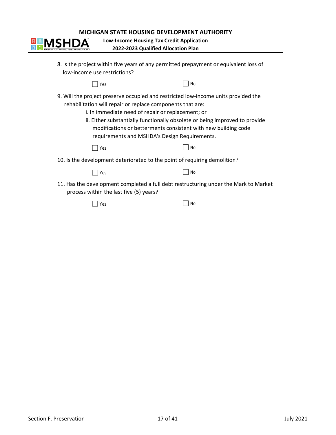**2022‐2023 Qualified Allocation Plan Low‐Income Housing Tax Credit Application**

| 8. Is the project within five years of any permitted prepayment or equivalent loss of<br>low-income use restrictions?                                                                                                                                                                                                                                                                                   |           |  |  |  |
|---------------------------------------------------------------------------------------------------------------------------------------------------------------------------------------------------------------------------------------------------------------------------------------------------------------------------------------------------------------------------------------------------------|-----------|--|--|--|
| Yes                                                                                                                                                                                                                                                                                                                                                                                                     | <b>No</b> |  |  |  |
| 9. Will the project preserve occupied and restricted low-income units provided the<br>rehabilitation will repair or replace components that are:<br>i. In immediate need of repair or replacement; or<br>ii. Either substantially functionally obsolete or being improved to provide<br>modifications or betterments consistent with new building code<br>requirements and MSHDA's Design Requirements. |           |  |  |  |
| Yes                                                                                                                                                                                                                                                                                                                                                                                                     | <b>No</b> |  |  |  |
| 10. Is the development deteriorated to the point of requiring demolition?                                                                                                                                                                                                                                                                                                                               |           |  |  |  |
| Yes                                                                                                                                                                                                                                                                                                                                                                                                     | <b>No</b> |  |  |  |
| 11. Has the development completed a full debt restructuring under the Mark to Market<br>process within the last five (5) years?                                                                                                                                                                                                                                                                         |           |  |  |  |
| Yes                                                                                                                                                                                                                                                                                                                                                                                                     | No        |  |  |  |

**ED METHODS STATE HOUSING DEVELOPMENT AUTHORITY**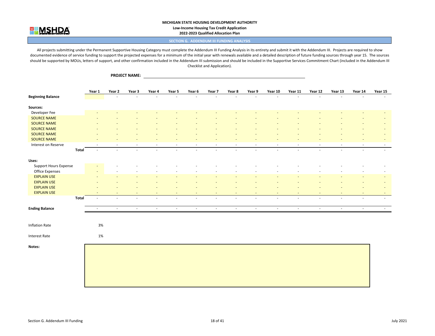#### **MICHIGAN STATE HOUSING DEVELOPMENT AUTHORITY Low‐Income Housing Tax Credit Application**



**PROJECT NAME:**

#### **2022‐2023 Qualified Allocation Plan**

#### **SECTION G. ADDENDUM III FUNDING ANALYSIS**

All projects submitting under the Permanent Supportive Housing Category must complete the Addendum III Funding Analysis in its entirety and submit it with the Addendum III. Projects are required to show documented evidence of service funding to support the projected expenses for <sup>a</sup> minimum of the initial year with renewals available and <sup>a</sup> detailed description of future funding sources through year 15. The sources should be supported by MOUs, letters of support, and other confirmation included in the Addendum III submission and should be included in the Supportive Services Commitment Chart (included in the Addendum III Checklist and Application).

**Year**r1 Year2 Year3 Year4 Year5 Year6 Year7 Year8 Year9 Year10 Year11 Year12 Year13 Year14 Year15 Year 15 **Beginning Balance** ‐ ‐ ‐ ‐ ‐ ‐ ‐ ‐ ‐ ‐ ‐ ‐ ‐ ‐ **Sources:** Developer Fee ‐ ‐ ‐ ‐ ‐ ‐ ‐ ‐ ‐ ‐ ‐ ‐ ‐ ‐ ‐ **SOURCE NAME**  ${\sf ENAME}$  . The set of the set of the set of the set of the set of the set of the set of the set of the set of the set of the set of the set of the set of the set of the set of the set of the set of the set of the set of **SOURCE NAME**  ${\sf ENAME}$  . The set of the set of the set of the set of the set of the set of the set of the set of the set of the set of the set of the set of the set of the set of the set of the set of the set of the set of the set of **SOURCE NAME**  ${\sf ENAME}$  . The set of the set of the set of the set of the set of the set of the set of the set of the set of the set of the set of the set of the set of the set of the set of the set of the set of the set of the set of t **SOURCE NAME**  ${\sf ENAME}$  . The set of the set of the set of the set of the set of the set of the set of the set of the set of the set of the set of the set of the set of the set of the set of the set of the set of the set of the set of t **SOURCE NAME**  ${\sf ENAME}$  . The set of the set of the set of the set of the set of the set of the set of the set of the set of the set of the set of the set of the set of the set of the set of the set of the set of the set of the set of t Interest on Reserve ‐ ‐ ‐ ‐ ‐ ‐ ‐ ‐ ‐ ‐ ‐ ‐ ‐ ‐ ‐ **Total** ‐ ‐ ‐ ‐ ‐ ‐ ‐ ‐ ‐ ‐ ‐ ‐ ‐ ‐ ‐ **Uses:** Support Hours Expense **Office Expenses**  Expenses ‐ ‐ ‐ ‐ ‐ ‐ ‐ ‐ ‐ ‐ ‐ ‐ ‐ ‐ ‐ **EXPLAIN USE**  USE ‐ ‐ ‐ ‐ ‐ ‐ ‐ ‐ ‐ ‐ ‐ ‐ ‐ ‐ ‐ **EXPLAIN USE** NUSE the set of the set of the set of the set of the set of the set of the set of the set of the set of the set of the set of the set of the set of the set of the set of the set of the set of the set of the set of the set **EXPLAIN USE** NUSE the set of the set of the set of the set of the set of the set of the set of the set of the set of the set of the set of the set of the set of the set of the set of the set of the set of the set of the set of the set **EXPLAIN USE**  USE ‐ ‐ ‐ ‐ ‐ ‐ ‐ ‐ ‐ ‐ ‐ ‐ ‐ ‐ ‐ **Total** ‐ ‐ ‐ ‐ ‐ ‐ ‐ ‐ ‐ ‐ ‐ ‐ ‐ ‐ ‐ **Ending Balance** ‐ ‐ ‐ ‐ ‐ ‐ ‐ ‐ ‐ ‐ ‐ ‐ ‐ ‐ ‐ Inflation Rate 3%3% Interest Ratee and  $1\%$ **Notes:**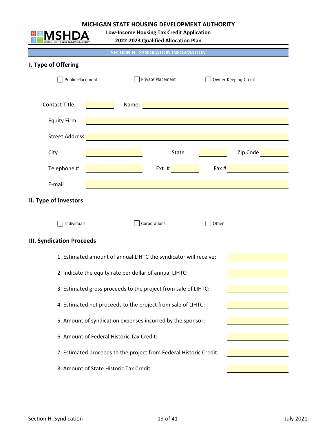**Low‐Income Housing Tax Credit Application**

| 2022-2023 Qualified Allocation Plan                            |       |                                                                  |       |                      |  |
|----------------------------------------------------------------|-------|------------------------------------------------------------------|-------|----------------------|--|
|                                                                |       | <b>SECTION H. SYNDICATION INFORMATION</b>                        |       |                      |  |
| I. Type of Offering                                            |       |                                                                  |       |                      |  |
| Public Placement                                               |       | Private Placement                                                |       | Owner Keeping Credit |  |
|                                                                |       |                                                                  |       |                      |  |
|                                                                |       |                                                                  |       |                      |  |
| <b>Contact Title:</b>                                          | Name: |                                                                  |       |                      |  |
| <b>Equity Firm</b>                                             |       |                                                                  |       |                      |  |
| <b>Street Address</b>                                          |       |                                                                  |       |                      |  |
| City                                                           |       | <b>State</b>                                                     |       | Zip Code             |  |
| Telephone #                                                    |       | Ext.#                                                            | Fax # |                      |  |
| E-mail                                                         |       |                                                                  |       |                      |  |
| II. Type of Investors                                          |       |                                                                  |       |                      |  |
|                                                                |       |                                                                  |       |                      |  |
| Individuals                                                    |       | Corporations                                                     | Other |                      |  |
| <b>III. Syndication Proceeds</b>                               |       |                                                                  |       |                      |  |
|                                                                |       | 1. Estimated amount of annual LIHTC the syndicator will receive: |       |                      |  |
| 2. Indicate the equity rate per dollar of annual LIHTC:        |       |                                                                  |       |                      |  |
| 3. Estimated gross proceeds to the project from sale of LIHTC: |       |                                                                  |       |                      |  |
| 4. Estimated net proceeds to the project from sale of LIHTC:   |       |                                                                  |       |                      |  |
|                                                                |       |                                                                  |       |                      |  |
| 5. Amount of syndication expenses incurred by the sponsor:     |       |                                                                  |       |                      |  |
| 6. Amount of Federal Historic Tax Credit:                      |       |                                                                  |       |                      |  |

- 7. Estimated proceeds to the project from Federal Historic Credit:
- 8. Amount of State Historic Tax Credit:

**EBMCHDA**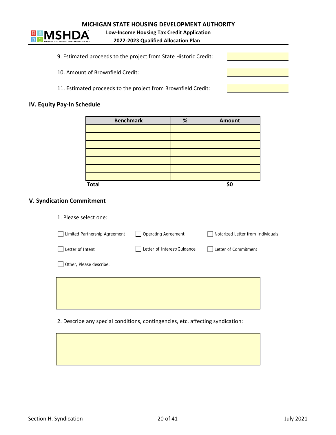

**2022‐2023 Qualified Allocation Plan Low‐Income Housing Tax Credit Application**

- 9. Estimated proceeds to the project from State Historic Credit:
- 10. Amount of Brownfield Credit:
- 11. Estimated proceeds to the project from Brownfield Credit:

#### **IV. Equity Pay‐In Schedule**

| <b>Benchmark</b> | $\%$ | Amount |
|------------------|------|--------|
|                  |      |        |
|                  |      |        |
|                  |      |        |
|                  |      |        |
|                  |      |        |
|                  |      |        |
|                  |      |        |
| <b>Total</b>     |      | \$0    |

## **V. Syndication Commitment**

| 1. Please select one:         |                             |                                   |
|-------------------------------|-----------------------------|-----------------------------------|
| Limited Partnership Agreement | <b>Operating Agreement</b>  | Notarized Letter from Individuals |
| Letter of Intent              | Letter of Interest/Guidance | Letter of Commitment              |
| Other, Please describe:       |                             |                                   |
|                               |                             |                                   |
|                               |                             |                                   |

2. Describe any special conditions, contingencies, etc. affecting syndication: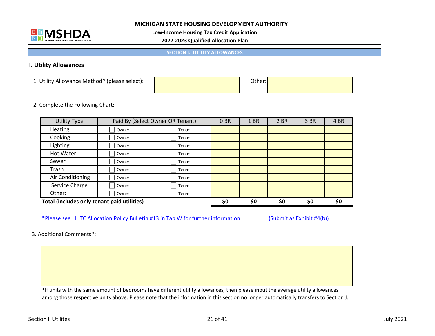

**Low‐Income Housing Tax Credit Application**

**2022‐2023 Qualified Allocation Plan**

**SECTION I. UTILITY ALLOWANCES**

#### **I. Utility Allowances**

1. Utility Allowance Method\* (please select): Other:

2. Complete the Following Chart:

| <b>Utility Type</b>                         |       | Paid By (Select Owner OR Tenant) | 0 <sub>BR</sub> | 1 BR | 2 BR | 3 BR | 4 BR |
|---------------------------------------------|-------|----------------------------------|-----------------|------|------|------|------|
| Heating                                     | Owner | Tenant                           |                 |      |      |      |      |
| Cooking                                     | Owner | Tenant                           |                 |      |      |      |      |
| Lighting                                    | Owner | Tenant                           |                 |      |      |      |      |
| Hot Water                                   | Owner | Tenant                           |                 |      |      |      |      |
| Sewer                                       | Owner | Tenant                           |                 |      |      |      |      |
| Trash                                       | Owner | Tenant                           |                 |      |      |      |      |
| Air Conditioning                            | Owner | Tenant                           |                 |      |      |      |      |
| Service Charge                              | Owner | Tenant                           |                 |      |      |      |      |
| Other:                                      | Owner | Tenant                           |                 |      |      |      |      |
| Total (includes only tenant paid utilities) |       |                                  | \$0             | \$0  | \$0  | \$0  | \$0  |

\*Please see LIHTC Allocation Policy Bulletin #13 in Tab W for further information. (Submit as Exhibit #4(b))

3. Additional Comments\*:

\*If units with the same amount of bedrooms have different utility allowances, then please input the average utility allowances among those respective units above. Please note that the information in this section no longer automatically transfers to Section J.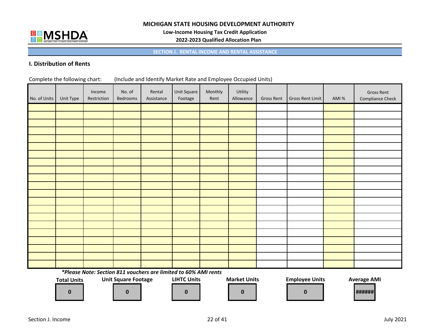

**Low‐Income Housing Tax Credit Application** ™

**2022‐2023 Qualified Allocation Plan**

**SECTION J. RENTAL INCOME AND RENTAL ASSISTANCE**

#### **I. Distribution of Rents**

| Complete the following chart: | (Include and Identify Market Rate and Employee Occupied Units) |
|-------------------------------|----------------------------------------------------------------|
|-------------------------------|----------------------------------------------------------------|

**0**

| No. of Units | Unit Type          | Income<br>Restriction | No. of<br>Bedrooms         | Rental<br>Assistance                                            | <b>Unit Square</b><br>Footage | Monthly<br>Rent | Utility<br>Allowance | <b>Gross Rent</b> | <b>Gross Rent Limit</b> | AMI % | <b>Gross Rent</b><br><b>Compliance Check</b> |
|--------------|--------------------|-----------------------|----------------------------|-----------------------------------------------------------------|-------------------------------|-----------------|----------------------|-------------------|-------------------------|-------|----------------------------------------------|
|              |                    |                       |                            |                                                                 |                               |                 |                      |                   |                         |       |                                              |
|              |                    |                       |                            |                                                                 |                               |                 |                      |                   |                         |       |                                              |
|              |                    |                       |                            |                                                                 |                               |                 |                      |                   |                         |       |                                              |
|              |                    |                       |                            |                                                                 |                               |                 |                      |                   |                         |       |                                              |
|              |                    |                       |                            |                                                                 |                               |                 |                      |                   |                         |       |                                              |
|              |                    |                       |                            |                                                                 |                               |                 |                      |                   |                         |       |                                              |
|              |                    |                       |                            |                                                                 |                               |                 |                      |                   |                         |       |                                              |
|              |                    |                       |                            |                                                                 |                               |                 |                      |                   |                         |       |                                              |
|              |                    |                       |                            |                                                                 |                               |                 |                      |                   |                         |       |                                              |
|              |                    |                       |                            |                                                                 |                               |                 |                      |                   |                         |       |                                              |
|              |                    |                       |                            |                                                                 |                               |                 |                      |                   |                         |       |                                              |
|              |                    |                       |                            |                                                                 |                               |                 |                      |                   |                         |       |                                              |
|              |                    |                       |                            |                                                                 |                               |                 |                      |                   |                         |       |                                              |
|              |                    |                       |                            |                                                                 |                               |                 |                      |                   |                         |       |                                              |
|              |                    |                       |                            |                                                                 |                               |                 |                      |                   |                         |       |                                              |
|              |                    |                       |                            |                                                                 |                               |                 |                      |                   |                         |       |                                              |
|              |                    |                       |                            |                                                                 |                               |                 |                      |                   |                         |       |                                              |
|              |                    |                       |                            |                                                                 |                               |                 |                      |                   |                         |       |                                              |
|              |                    |                       |                            |                                                                 |                               |                 |                      |                   |                         |       |                                              |
|              |                    |                       |                            |                                                                 |                               |                 |                      |                   |                         |       |                                              |
|              |                    |                       |                            |                                                                 |                               |                 |                      |                   |                         |       |                                              |
|              |                    |                       |                            | *Please Note: Section 811 vouchers are limited to 60% AMI rents |                               |                 |                      |                   |                         |       |                                              |
|              | <b>Total Units</b> |                       | <b>Unit Square Footage</b> |                                                                 | <b>LIHTC Units</b>            |                 | <b>Market Units</b>  |                   | <b>Employee Units</b>   |       | <b>Average AMI</b>                           |
|              |                    |                       |                            |                                                                 |                               |                 |                      |                   |                         |       |                                              |

**0**

**0**

**0 0 ######**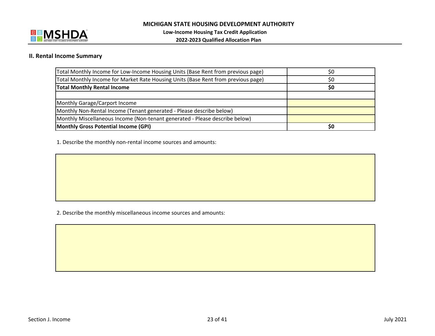

**2022‐2023 Qualified Allocation Plan**

#### **II. Rental Income Summary**

| Total Monthly Income for Low-Income Housing Units (Base Rent from previous page)  | \$0 |
|-----------------------------------------------------------------------------------|-----|
| Total Monthly Income for Market Rate Housing Units (Base Rent from previous page) | S0  |
| <b>Total Monthly Rental Income</b>                                                | \$0 |
|                                                                                   |     |
| Monthly Garage/Carport Income                                                     |     |
| Monthly Non-Rental Income (Tenant generated - Please describe below)              |     |
| Monthly Miscellaneous Income (Non-tenant generated - Please describe below)       |     |
| Monthly Gross Potential Income (GPI)                                              | S0  |

1. Describe the monthly non‐rental income sources and amounts:

2. Describe the monthly miscellaneous income sources and amounts: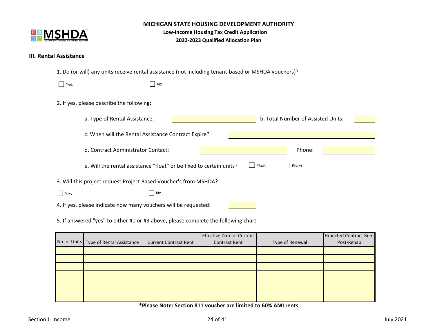

**2022‐2023 Qualified Allocation Plan Low‐Income Housing Tax Credit Application**

#### **III. Rental Assistance**

|  |  |  |  |  |  | 1. Do (or will) any units receive rental assistance (not including tenant-based or MSHDA vouchers)? |
|--|--|--|--|--|--|-----------------------------------------------------------------------------------------------------|
|--|--|--|--|--|--|-----------------------------------------------------------------------------------------------------|

| $\blacksquare$ Yes | N <sub>O</sub>                                                      |                                    |
|--------------------|---------------------------------------------------------------------|------------------------------------|
|                    | 2. If yes, please describe the following:                           |                                    |
|                    | a. Type of Rental Assistance:                                       | b. Total Number of Assisted Units: |
|                    | c. When will the Rental Assistance Contract Expire?                 |                                    |
|                    | d. Contract Administrator Contact:                                  | Phone:                             |
|                    | e. Will the rental assistance "float" or be fixed to certain units? | $\vert$ Float<br>Fixed             |
|                    | 3. Will this project request Project Based Voucher's from MSHDA?    |                                    |
| $\blacksquare$ Yes | No                                                                  |                                    |
|                    | 4. If yes, please indicate how many vouchers will be requested:     |                                    |

5. If answered "yes" to either #1 or #3 above, please complete the following chart:

|                                        |                              | <b>Effective Date of Current</b> |                 | <b>Expected Contract Rent</b> |
|----------------------------------------|------------------------------|----------------------------------|-----------------|-------------------------------|
| No. of Units Type of Rental Assistance | <b>Current Contract Rent</b> | <b>Contract Rent</b>             | Type of Renewal | Post-Rehab                    |
|                                        |                              |                                  |                 |                               |
|                                        |                              |                                  |                 |                               |
|                                        |                              |                                  |                 |                               |
|                                        |                              |                                  |                 |                               |
|                                        |                              |                                  |                 |                               |
|                                        |                              |                                  |                 |                               |
|                                        |                              |                                  |                 |                               |

**\*Please Note: Section 811 voucher are limited to 60% AMI rents**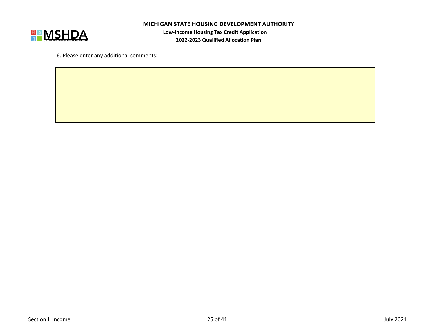

**2022‐2023 Qualified Allocation Plan**

6. Please enter any additional comments: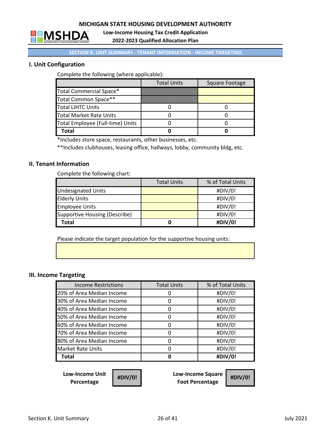

**Low‐Income Housing Tax Credit Application**

**2022‐2023 Qualified Allocation Plan**

#### **SECTION K. UNIT SUMMARY ‐ TENANT INFORMATION ‐ INCOME TARGETING**

## **I. Unit Configuration**

Complete the following (where applicable):

|                                  | <b>Total Units</b> | Square Footage |
|----------------------------------|--------------------|----------------|
| <b>Total Commercial Space*</b>   |                    |                |
| Total Common Space**             |                    |                |
| <b>Total LIHTC Units</b>         |                    |                |
| <b>Total Market Rate Units</b>   |                    |                |
| Total Employee (Full-time) Units |                    |                |
| Total                            |                    |                |

\*Includes store space, restaurants, other businesses, etc.

\*\*Includes clubhouses, leasing office, hallways, lobby, community bldg, etc.

#### **II. Tenant Information**

Complete the following chart:

|                                      | <b>Total Units</b> | % of Total Units |
|--------------------------------------|--------------------|------------------|
| <b>Undesignated Units</b>            |                    | #DIV/0!          |
| <b>Elderly Units</b>                 |                    | #DIV/0!          |
| <b>Employee Units</b>                |                    | #DIV/0!          |
| <b>Supportive Housing (Describe)</b> |                    | #DIV/0!          |
| Total                                |                    | #DIV/0!          |

Please indicate the target population for the supportive housing units:

#### **III. Income Targeting**

| <b>Income Restrictions</b> | <b>Total Units</b> | % of Total Units |
|----------------------------|--------------------|------------------|
| 20% of Area Median Income  |                    | #DIV/0!          |
| 30% of Area Median Income  | O                  | #DIV/0!          |
| 40% of Area Median Income  | O                  | #DIV/0!          |
| 50% of Area Median Income  | O                  | #DIV/0!          |
| 60% of Area Median Income  | O                  | #DIV/0!          |
| 70% of Area Median Income  |                    | #DIV/0!          |
| 80% of Area Median Income  | O                  | #DIV/0!          |
| <b>Market Rate Units</b>   |                    | #DIV/0!          |
| Total                      |                    | #DIV/0!          |

**Low‐Income Unit Percentage**

**Low‐Income Square Foot Percentage #DIV/0! #DIV/0!**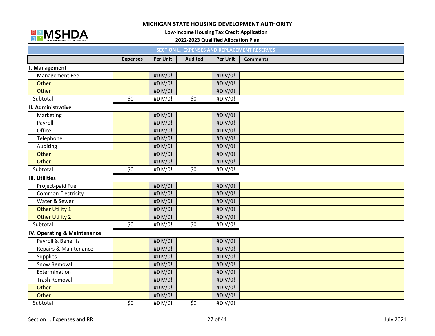

**Low‐Income Housing Tax Credit Application**

#### **2022‐2023 Qualified Allocation Plan**

| <b>SECTION L. EXPENSES AND REPLACEMENT RESERVES</b> |                 |                 |                |                 |                 |  |
|-----------------------------------------------------|-----------------|-----------------|----------------|-----------------|-----------------|--|
|                                                     | <b>Expenses</b> | <b>Per Unit</b> | <b>Audited</b> | <b>Per Unit</b> | <b>Comments</b> |  |
| I. Management                                       |                 |                 |                |                 |                 |  |
| Management Fee                                      |                 | #DIV/0!         |                | #DIV/0!         |                 |  |
| Other                                               |                 | #DIV/0!         |                | #DIV/0!         |                 |  |
| Other                                               |                 | #DIV/0!         |                | #DIV/0!         |                 |  |
| Subtotal                                            | \$0             | #DIV/0!         | \$0            | #DIV/0!         |                 |  |
| II. Administrative                                  |                 |                 |                |                 |                 |  |
| Marketing                                           |                 | #DIV/0!         |                | #DIV/0!         |                 |  |
| Payroll                                             |                 | #DIV/0!         |                | #DIV/0!         |                 |  |
| Office                                              |                 | #DIV/0!         |                | #DIV/0!         |                 |  |
| Telephone                                           |                 | #DIV/0!         |                | #DIV/0!         |                 |  |
| Auditing                                            |                 | #DIV/0!         |                | #DIV/0!         |                 |  |
| Other                                               |                 | #DIV/0!         |                | #DIV/0!         |                 |  |
| Other                                               |                 | #DIV/0!         |                | #DIV/0!         |                 |  |
| Subtotal                                            | \$0             | #DIV/0!         | \$0            | #DIV/0!         |                 |  |
| <b>III. Utilities</b>                               |                 |                 |                |                 |                 |  |
| Project-paid Fuel                                   |                 | #DIV/0!         |                | #DIV/0!         |                 |  |
| <b>Common Electricity</b>                           |                 | #DIV/0!         |                | #DIV/0!         |                 |  |
| Water & Sewer                                       |                 | #DIV/0!         |                | #DIV/0!         |                 |  |
| <b>Other Utility 1</b>                              |                 | #DIV/0!         |                | #DIV/0!         |                 |  |
| <b>Other Utility 2</b>                              |                 | #DIV/0!         |                | #DIV/0!         |                 |  |
| Subtotal                                            | \$0             | #DIV/0!         | \$0            | #DIV/0!         |                 |  |
| IV. Operating & Maintenance                         |                 |                 |                |                 |                 |  |
| Payroll & Benefits                                  |                 | #DIV/0!         |                | #DIV/0!         |                 |  |
| Repairs & Maintenance                               |                 | #DIV/0!         |                | #DIV/0!         |                 |  |
| Supplies                                            |                 | #DIV/0!         |                | #DIV/0!         |                 |  |
| Snow Removal                                        |                 | #DIV/0!         |                | #DIV/0!         |                 |  |
| Extermination                                       |                 | #DIV/0!         |                | #DIV/0!         |                 |  |
| <b>Trash Removal</b>                                |                 | #DIV/0!         |                | #DIV/0!         |                 |  |
| Other                                               |                 | #DIV/0!         |                | #DIV/0!         |                 |  |
| Other                                               |                 | #DIV/0!         |                | #DIV/0!         |                 |  |
| Subtotal                                            | \$0             | #DIV/0!         | \$0            | #DIV/0!         |                 |  |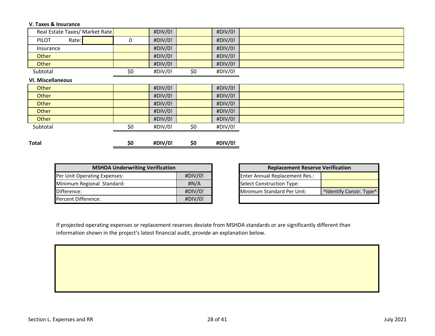| V. Taxes & Insurance           |     |         |     |         |  |
|--------------------------------|-----|---------|-----|---------|--|
| Real Estate Taxes/ Market Rate |     | #DIV/0! |     | #DIV/0! |  |
| Rate:<br>PILOT                 | 0   | #DIV/0! |     | #DIV/0! |  |
| Insurance                      |     | #DIV/0! |     | #DIV/0! |  |
| Other                          |     | #DIV/0! |     | #DIV/0! |  |
| Other                          |     | #DIV/0! |     | #DIV/0! |  |
| Subtotal                       | \$0 | #DIV/0! | \$0 | #DIV/0! |  |
| <b>VI. Miscellaneous</b>       |     |         |     |         |  |
| Other                          |     | #DIV/0! |     | #DIV/0! |  |
| Other                          |     | #DIV/0! |     | #DIV/0! |  |
| Other                          |     | #DIV/0! |     | #DIV/0! |  |
| Other                          |     | #DIV/0! |     | #DIV/0! |  |
| Other                          |     | #DIV/0! |     | #DIV/0! |  |
| Subtotal                       | \$0 | #DIV/0! | \$0 | #DIV/0! |  |
|                                |     |         |     |         |  |
| <b>Total</b>                   | \$0 | #DIV/0! | \$0 | #DIV/0! |  |

| <b>MSHDA Underwriting Verification</b> |         |
|----------------------------------------|---------|
| Per Unit Operating Expenses:           | #DIV/0! |
| Minimum Regional Standard:             | #N/A    |
| Difference:                            | #DIV/0! |
| Percent Difference:                    | #DIV/0! |

| <b>Replacement Reserve Verification</b> |                         |
|-----------------------------------------|-------------------------|
| Enter Annual Replacement Res.:          |                         |
| Select Construction Type:               |                         |
| Minimum Standard Per Unit:              | ^Identify Constr. Type^ |
|                                         |                         |

If projected operating expenses or replacement reserves deviate from MSHDA standards or are significantly different than information shown in the project's latest financial audit, provide an explanation below.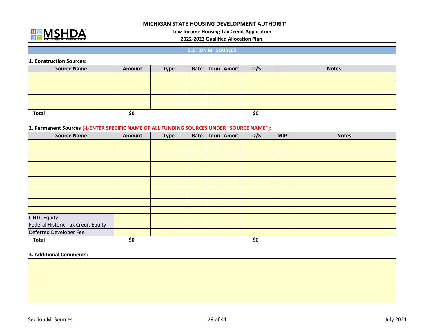

**Low‐Income Housing Tax Credit Application**

#### **2022‐2023 Qualified Allocation Plan**

#### **SECTION M. SOURCES**

#### **1. Construction Sources:**

| <b>Source Name</b> | Amount | <b>Type</b> |  | Rate Term Amort | D/S | <b>Notes</b> |
|--------------------|--------|-------------|--|-----------------|-----|--------------|
|                    |        |             |  |                 |     |              |
|                    |        |             |  |                 |     |              |
|                    |        |             |  |                 |     |              |
|                    |        |             |  |                 |     |              |
|                    |        |             |  |                 |     |              |
| <b>Total</b>       | \$0    |             |  |                 | \$0 |              |

#### **2. Permanent Sources (↓ENTER SPECIFIC NAME OF ALL FUNDING SOURCES UNDER "SOURCE NAME"):**

| <b>Source Name</b>                 | Amount | <b>Type</b> | Rate | Term   Amort | D/S | <b>MIP</b> | <b>Notes</b> |
|------------------------------------|--------|-------------|------|--------------|-----|------------|--------------|
|                                    |        |             |      |              |     |            |              |
|                                    |        |             |      |              |     |            |              |
|                                    |        |             |      |              |     |            |              |
|                                    |        |             |      |              |     |            |              |
|                                    |        |             |      |              |     |            |              |
|                                    |        |             |      |              |     |            |              |
|                                    |        |             |      |              |     |            |              |
|                                    |        |             |      |              |     |            |              |
|                                    |        |             |      |              |     |            |              |
|                                    |        |             |      |              |     |            |              |
| <b>LIHTC Equity</b>                |        |             |      |              |     |            |              |
| Federal Historic Tax Credit Equity |        |             |      |              |     |            |              |
| Deferred Developer Fee             |        |             |      |              |     |            |              |
| <b>Total</b>                       | \$0    |             |      |              | \$0 |            |              |

#### **3. Additional Comments:**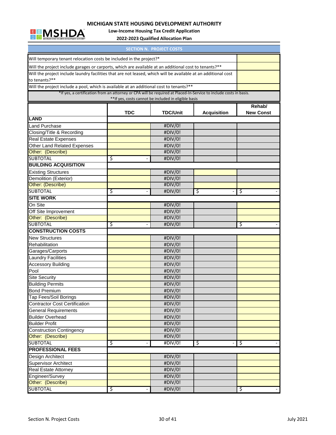

**Low‐Income Housing Tax Credit Application**

**2022‐2023 Qualified Allocation Plan**

|                                                                                                                   |            | <b>SECTION N. PROJECT COSTS</b>                       |                    |                  |
|-------------------------------------------------------------------------------------------------------------------|------------|-------------------------------------------------------|--------------------|------------------|
| Will temporary tenant relocation costs be included in the project?*                                               |            |                                                       |                    |                  |
| Will the project include garages or carports, which are available at an additional cost to tenants?**             |            |                                                       |                    |                  |
| Will the project include laundry facilities that are not leased, which will be available at an additional cost    |            |                                                       |                    |                  |
| to tenants?**                                                                                                     |            |                                                       |                    |                  |
| Will the project include a pool, which is available at an additional cost to tenants?**                           |            |                                                       |                    |                  |
| *If yes, a certification from an attorney or CPA will be required at Placed-In-Service to include costs in basis. |            |                                                       |                    |                  |
|                                                                                                                   |            | ** If yes, costs cannot be included in eligible basis |                    |                  |
|                                                                                                                   |            |                                                       |                    | Rehab/           |
|                                                                                                                   | <b>TDC</b> | <b>TDC/Unit</b>                                       | <b>Acquisition</b> | <b>New Const</b> |
| <b>LAND</b>                                                                                                       |            |                                                       |                    |                  |
| Land Purchase                                                                                                     |            | #DIV/0!                                               |                    |                  |
| Closing/Title & Recording                                                                                         |            | #DIV/0!                                               |                    |                  |
| <b>Real Estate Expenses</b>                                                                                       |            | #DIV/0!                                               |                    |                  |
| Other Land Related Expenses                                                                                       |            | #DIV/0!                                               |                    |                  |
| Other: (Describe)                                                                                                 |            | #DIV/0!                                               |                    |                  |
| <b>SUBTOTAL</b>                                                                                                   | \$         | #DIV/0!                                               |                    |                  |
| <b>BUILDING ACQUISITION</b>                                                                                       |            |                                                       |                    |                  |
| <b>Existing Structures</b>                                                                                        |            | #DIV/0!                                               |                    |                  |
| Demolition (Exterior)                                                                                             |            | #DIV/0!                                               |                    |                  |
| Other: (Describe)                                                                                                 |            | #DIV/0!                                               |                    |                  |
| <b>SUBTOTAL</b>                                                                                                   | ड़         | #DIV/0!                                               | `\$                | \$               |
| <b>SITE WORK</b>                                                                                                  |            |                                                       |                    |                  |
| On Site                                                                                                           |            | #DIV/0!                                               |                    |                  |
| Off Site Improvement                                                                                              |            | #DIV/0!                                               |                    |                  |
| Other: (Describe)                                                                                                 |            | #DIV/0!                                               |                    |                  |
| <b>SUBTOTAL</b>                                                                                                   | \$         | #DIV/0!                                               |                    | \$               |
| <b>CONSTRUCTION COSTS</b>                                                                                         |            |                                                       |                    |                  |
| <b>New Structures</b>                                                                                             |            | #DIV/0!                                               |                    |                  |
| Rehabilitation                                                                                                    |            | #DIV/0!                                               |                    |                  |
| Garages/Carports                                                                                                  |            | #DIV/0!                                               |                    |                  |
| <b>Laundry Facilities</b>                                                                                         |            | #DIV/0!                                               |                    |                  |
| <b>Accessory Building</b>                                                                                         |            | #DIV/0!                                               |                    |                  |
| Pool                                                                                                              |            | #DIV/0!                                               |                    |                  |
| <b>Site Security</b>                                                                                              |            | #DIV/0!                                               |                    |                  |
| <b>Building Permits</b>                                                                                           |            | #DIV/0!                                               |                    |                  |
| <b>Bond Premium</b>                                                                                               |            | #DIV/0!                                               |                    |                  |
| Tap Fees/Soil Borings                                                                                             |            | #DIV/0!                                               |                    |                  |
| <b>Contractor Cost Certification</b>                                                                              |            | #DIV/0!                                               |                    |                  |
| <b>General Requirements</b>                                                                                       |            | #DIV/0!                                               |                    |                  |
| <b>Builder Overhead</b>                                                                                           |            | #DIV/0!                                               |                    |                  |
| <b>Builder Profit</b>                                                                                             |            | #DIV/0!                                               |                    |                  |
| <b>Construction Contingency</b>                                                                                   |            | #DIV/0!                                               |                    |                  |
| Other: (Describe)                                                                                                 |            | #DIV/0!                                               |                    |                  |
| <b>SUBTOTAL</b>                                                                                                   | \$         | #DIV/0!                                               | `\$                | \$               |
| <b>PROFESSIONAL FEES</b>                                                                                          |            |                                                       |                    |                  |
| Design Architect                                                                                                  |            | #DIV/0!                                               |                    |                  |
| <b>Supervisor Architect</b>                                                                                       |            | #DIV/0!                                               |                    |                  |
| Real Estate Attorney                                                                                              |            | #DIV/0!                                               |                    |                  |
| Engineer/Survey                                                                                                   |            | #DIV/0!                                               |                    |                  |
| Other: (Describe)                                                                                                 |            | #DIV/0!                                               |                    |                  |
| <b>SUBTOTAL</b>                                                                                                   | ड़         | #DIV/0!                                               |                    | \$               |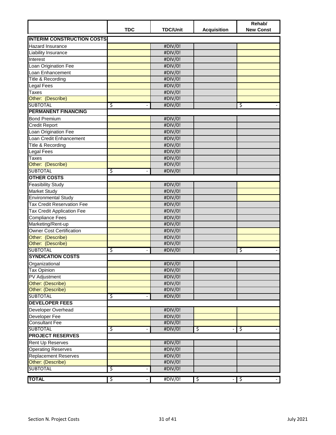|                                             | <b>TDC</b>                     | <b>TDC/Unit</b>    | <b>Acquisition</b> | Rehab/<br><b>New Const</b> |
|---------------------------------------------|--------------------------------|--------------------|--------------------|----------------------------|
| <b>INTERIM CONSTRUCTION COSTS</b>           |                                |                    |                    |                            |
| Hazard Insurance                            |                                | #DIV/0!            |                    |                            |
| Liability Insurance                         |                                | #DIV/0!            |                    |                            |
| Interest                                    |                                | #DIV/0!            |                    |                            |
| Loan Origination Fee                        |                                | #DIV/0!            |                    |                            |
| Loan Enhancement                            |                                | #DIV/0!            |                    |                            |
| Title & Recording                           |                                | #DIV/0!            |                    |                            |
| Legal Fees                                  |                                | #DIV/0!            |                    |                            |
| Taxes                                       |                                | #DIV/0!            |                    |                            |
| Other: (Describe)                           |                                | #DIV/0!            |                    |                            |
| <b>SUBTOTAL</b>                             | ॱऽ                             | #DIV/0!            |                    | \$                         |
| <b>PERMANENT FINANCING</b>                  |                                |                    |                    |                            |
| <b>Bond Premium</b>                         |                                | #DIV/0!            |                    |                            |
| Credit Report                               |                                | #DIV/0!            |                    |                            |
| Loan Origination Fee                        |                                | #DIV/0!            |                    |                            |
| Loan Credit Enhancement                     |                                | #DIV/0!            |                    |                            |
| Title & Recording                           |                                | #DIV/0!            |                    |                            |
| Legal Fees                                  |                                | #DIV/0!            |                    |                            |
| Taxes                                       |                                | #DIV/0!            |                    |                            |
| Other: (Describe)                           |                                | #DIV/0!            |                    |                            |
| <b>SUBTOTAL</b>                             | ड़                             | #DIV/0!            |                    |                            |
| <b>OTHER COSTS</b>                          |                                |                    |                    |                            |
| <b>Feasibility Study</b>                    |                                | #DIV/0!            |                    |                            |
| <b>Market Study</b>                         |                                | #DIV/0!            |                    |                            |
| <b>Environmental Study</b>                  |                                | #DIV/0!            |                    |                            |
| <b>Tax Credit Reservation Fee</b>           |                                | #DIV/0!            |                    |                            |
| <b>Tax Credit Application Fee</b>           |                                | #DIV/0!            |                    |                            |
| <b>Compliance Fees</b>                      |                                | #DIV/0!            |                    |                            |
| Marketing/Rent-up                           |                                | #DIV/0!            |                    |                            |
| <b>Owner Cost Certification</b>             |                                | #DIV/0!            |                    |                            |
| Other: (Describe)                           |                                | #DIV/0!            |                    |                            |
| Other: (Describe)                           |                                | #DIV/0!<br>#DIV/0! |                    |                            |
| <b>SUBTOTAL</b><br><b>SYNDICATION COSTS</b> | \$<br>$\overline{\phantom{0}}$ |                    |                    | \$                         |
|                                             |                                |                    |                    |                            |
| Organizational                              |                                | #DIV/0!            |                    |                            |
| <b>Tax Opinion</b>                          |                                | #DIV/0!<br>#DIV/0! |                    |                            |
| PV Adjustment<br>Other: (Describe)          |                                | #DIV/0!            |                    |                            |
| Other: (Describe)                           |                                | #DIV/0!            |                    |                            |
| <b>SUBTOTAL</b>                             | \$                             | #DIV/0!            |                    |                            |
| <b>DEVELOPER FEES</b>                       |                                |                    |                    |                            |
| Developer Overhead                          |                                | #DIV/0!            |                    |                            |
| Developer Fee                               |                                | #DIV/0!            |                    |                            |
| <b>Consultant Fee</b>                       |                                | #DIV/0!            |                    |                            |
| <b>SUBTOTAL</b>                             | \$                             | #DIV/0!            | \$                 | \$                         |
| <b>PROJECT RESERVES</b>                     |                                |                    |                    |                            |
| Rent Up Reserves                            |                                | #DIV/0!            |                    |                            |
| <b>Operating Reserves</b>                   |                                | #DIV/0!            |                    |                            |
| <b>Replacement Reserves</b>                 |                                | #DIV/0!            |                    |                            |
| Other: (Describe)                           |                                | #DIV/0!            |                    |                            |
| <b>SUBTOTAL</b>                             | ड़                             | #DIV/0!            |                    |                            |
|                                             |                                |                    |                    |                            |
| <b>TOTAL</b>                                | ड़                             | #DIV/0!            | \$                 | \$                         |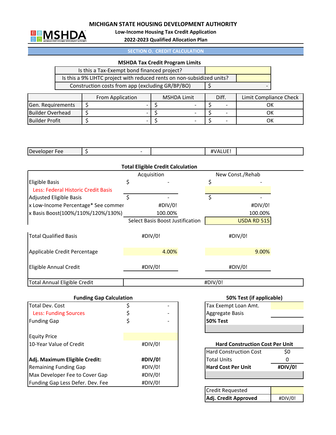

**Low‐Income Housing Tax Credit Application**

**2022‐2023 Qualified Allocation Plan**

**SECTION O. CREDIT CALCULATION**

#### **MSHDA Tax Credit Program Limits**

Is this a Tax‐Exempt bond financed project? Construction costs from app (excluding GR/BP/BO) \$ ‐ Is this a 9% LIHTC project with reduced rents on non‐subsidized units?

|                          | From Application | MSHDA Limit | Diff. | Limit Compliance Check |
|--------------------------|------------------|-------------|-------|------------------------|
| <b>Gen. Requirements</b> |                  |             |       | OК                     |
| Builder Overhead         |                  |             |       | OК                     |
| Builder Profit           |                  |             |       | OΚ                     |

| Developer<br>-ee<br>$-1$ |  | .<br>ш١.<br>IVAI<br>. |  |
|--------------------------|--|-----------------------|--|
|                          |  |                       |  |

|                                     | <b>Total Eligible Credit Calculation</b> |  |                                        |          |  |  |
|-------------------------------------|------------------------------------------|--|----------------------------------------|----------|--|--|
|                                     | Acquisition                              |  | New Const./Rehab                       |          |  |  |
| <b>Eligible Basis</b>               | \$                                       |  | \$                                     |          |  |  |
| Less: Federal Historic Credit Basis |                                          |  |                                        |          |  |  |
| <b>Adjusted Eligible Basis</b>      | \$                                       |  | \$                                     |          |  |  |
| x Low-Income Percentage* See commer | #DIV/0!                                  |  | #DIV/0!                                |          |  |  |
| x Basis Boost(100%/110%/120%/130%)  | 100.00%                                  |  | 100.00%                                |          |  |  |
|                                     | Select Basis Boost Justification         |  | USDA RD 515                            |          |  |  |
| <b>Total Qualified Basis</b>        | #DIV/0!                                  |  | #DIV/0!                                |          |  |  |
| Applicable Credit Percentage        | 4.00%                                    |  | 9.00%                                  |          |  |  |
| Eligible Annual Credit              | #DIV/0!                                  |  | #DIV/0!                                |          |  |  |
| <b>Total Annual Eligible Credit</b> |                                          |  | #DIV/0!                                |          |  |  |
| <b>Funding Gap Calculation</b>      |                                          |  | 50% Test (if applicable)               |          |  |  |
| <b>Total Dev. Cost</b>              | \$                                       |  | Tax Exempt Loan Amt.                   |          |  |  |
| <b>Less: Funding Sources</b>        | \$                                       |  | Aggregate Basis                        |          |  |  |
| <b>Funding Gap</b>                  | \$                                       |  | <b>50% Test</b>                        |          |  |  |
| <b>Equity Price</b>                 |                                          |  |                                        |          |  |  |
| 10-Year Value of Credit             | #DIV/0!                                  |  | <b>Hard Construction Cost Per Unit</b> |          |  |  |
|                                     |                                          |  | <b>Hard Construction Cost</b>          | \$0      |  |  |
| Adj. Maximum Eligible Credit:       | #DIV/0!                                  |  | <b>Total Units</b>                     | $\Omega$ |  |  |
| <b>Remaining Funding Gap</b>        | #DIV/0!                                  |  | <b>Hard Cost Per Unit</b>              | #DIV/0!  |  |  |
| Max Developer Fee to Cover Gap      | #DIV/0!                                  |  |                                        |          |  |  |
| Funding Gap Less Defer. Dev. Fee    | #DIV/0!                                  |  |                                        |          |  |  |
|                                     |                                          |  | <b>Credit Requested</b>                |          |  |  |
|                                     |                                          |  | Adj. Credit Approved                   | #DIV/0!  |  |  |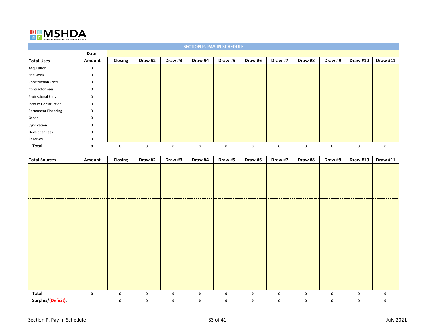## $\begin{array}{c} \hline \textbf{H} \\ \hline \textbf{B} \end{array}$ ™

|                             | <b>SECTION P. PAY-IN SCHEDULE</b> |         |         |              |              |         |             |             |         |         |          |          |
|-----------------------------|-----------------------------------|---------|---------|--------------|--------------|---------|-------------|-------------|---------|---------|----------|----------|
|                             | Date:                             |         |         |              |              |         |             |             |         |         |          |          |
| <b>Total Uses</b>           | Amount                            | Closing | Draw #2 | Draw #3      | Draw #4      | Draw #5 | Draw #6     | Draw #7     | Draw #8 | Draw #9 | Draw #10 | Draw #11 |
| Acquisition                 | 0                                 |         |         |              |              |         |             |             |         |         |          |          |
| Site Work                   | 0                                 |         |         |              |              |         |             |             |         |         |          |          |
| <b>Construction Costs</b>   | 0                                 |         |         |              |              |         |             |             |         |         |          |          |
| <b>Contractor Fees</b>      | 0                                 |         |         |              |              |         |             |             |         |         |          |          |
| Professional Fees           | 0                                 |         |         |              |              |         |             |             |         |         |          |          |
| <b>Interim Construction</b> | 0                                 |         |         |              |              |         |             |             |         |         |          |          |
| Permanent Financing         | 0                                 |         |         |              |              |         |             |             |         |         |          |          |
| Other                       | $\mathbf 0$                       |         |         |              |              |         |             |             |         |         |          |          |
| Syndication                 | 0                                 |         |         |              |              |         |             |             |         |         |          |          |
| Developer Fees              | 0                                 |         |         |              |              |         |             |             |         |         |          |          |
| Reserves                    | 0                                 |         |         |              |              |         |             |             |         |         |          |          |
| Total                       | 0                                 | 0       | 0       | $\mathsf{O}$ | $\mathsf{O}$ | 0       | $\mathbf 0$ | $\mathbf 0$ | 0       | 0       | 0        | 0        |

| <b>Total Sources</b> | Amount    | Closing   | Draw #2          | Draw #3 | Draw #4          | Draw #5          | Draw #6                    | Draw #7          | Draw #8          | Draw #9 | <b>Draw #10</b> | <b>Draw #11</b> |
|----------------------|-----------|-----------|------------------|---------|------------------|------------------|----------------------------|------------------|------------------|---------|-----------------|-----------------|
|                      |           |           |                  |         |                  |                  |                            |                  |                  |         |                 |                 |
|                      |           |           |                  |         |                  |                  |                            |                  |                  |         |                 |                 |
|                      |           |           |                  |         |                  |                  |                            |                  |                  |         |                 |                 |
|                      |           |           |                  |         |                  |                  |                            |                  |                  |         |                 |                 |
|                      |           |           |                  |         |                  |                  |                            |                  |                  |         |                 |                 |
|                      |           |           |                  |         |                  |                  |                            |                  |                  |         |                 |                 |
|                      |           |           |                  |         |                  |                  |                            |                  |                  |         |                 |                 |
|                      |           |           |                  |         |                  |                  |                            |                  |                  |         |                 |                 |
|                      |           |           |                  |         |                  |                  |                            |                  |                  |         |                 |                 |
|                      |           |           |                  |         |                  |                  |                            |                  |                  |         |                 |                 |
|                      |           |           |                  |         |                  |                  |                            |                  |                  |         |                 |                 |
|                      |           |           |                  |         |                  |                  |                            |                  |                  |         |                 |                 |
|                      |           |           |                  |         |                  |                  |                            |                  |                  |         |                 |                 |
|                      |           |           |                  |         |                  |                  |                            |                  |                  |         |                 |                 |
| Total                | $\pmb{0}$ | $\pmb{0}$ |                  |         |                  |                  |                            |                  |                  |         |                 | 0               |
| Surplus/(Deficit):   |           | 0         | $\mathbf 0$<br>0 | 0<br>0  | $\mathbf 0$<br>0 | $\mathbf 0$<br>0 | $\mathbf 0$<br>$\mathbf 0$ | $\mathbf 0$<br>0 | $\mathbf 0$<br>0 | 0<br>0  | $\bf{0}$<br>0   | 0               |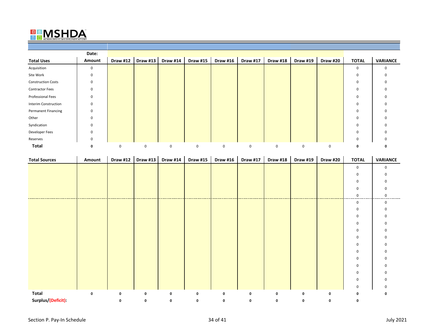## $\frac{E}{E}$ ™

|                             | Date:       |                 |                 |                 |                 |                 |                 |                 |                 |          |              |                 |
|-----------------------------|-------------|-----------------|-----------------|-----------------|-----------------|-----------------|-----------------|-----------------|-----------------|----------|--------------|-----------------|
| <b>Total Uses</b>           | Amount      | <b>Draw #12</b> | <b>Draw #13</b> | <b>Draw #14</b> | <b>Draw #15</b> | <b>Draw #16</b> | <b>Draw #17</b> | <b>Draw #18</b> | <b>Draw #19</b> | Draw #20 | <b>TOTAL</b> | <b>VARIANCE</b> |
| Acquisition                 | $\mathbf 0$ |                 |                 |                 |                 |                 |                 |                 |                 |          | 0            | 0               |
| Site Work                   | 0           |                 |                 |                 |                 |                 |                 |                 |                 |          | 0            | 0               |
| <b>Construction Costs</b>   | 0           |                 |                 |                 |                 |                 |                 |                 |                 |          | 0            | 0               |
| <b>Contractor Fees</b>      | $\mathbf 0$ |                 |                 |                 |                 |                 |                 |                 |                 |          | 0            | 0               |
| Professional Fees           | $\mathbf 0$ |                 |                 |                 |                 |                 |                 |                 |                 |          | 0            | 0               |
| <b>Interim Construction</b> | 0           |                 |                 |                 |                 |                 |                 |                 |                 |          | 0            | 0               |
| <b>Permanent Financing</b>  | 0           |                 |                 |                 |                 |                 |                 |                 |                 |          | 0            | 0               |
| Other                       | $\mathbf 0$ |                 |                 |                 |                 |                 |                 |                 |                 |          | 0            |                 |
| Syndication                 | 0           |                 |                 |                 |                 |                 |                 |                 |                 |          | 0            |                 |
| Developer Fees              | $\mathbf 0$ |                 |                 |                 |                 |                 |                 |                 |                 |          | 0            | 0               |
| Reserves                    | 0           |                 |                 |                 |                 |                 |                 |                 |                 |          | 0            | 0               |
| Total                       | 0           | $\mathbf 0$     | 0               | 0               | 0               | 0               | 0               | 0               | $\mathbf 0$     | 0        | 0            |                 |

| <b>Total Sources</b> | <b>Amount</b> | Draw #12 | Draw #13  | <b>Draw #14</b> | <b>Draw #15</b> | Draw #16 | <b>Draw #17</b> | Draw #18 | <b>Draw #19</b> | Draw #20 | <b>TOTAL</b> | <b>VARIANCE</b> |
|----------------------|---------------|----------|-----------|-----------------|-----------------|----------|-----------------|----------|-----------------|----------|--------------|-----------------|
|                      |               |          |           |                 |                 |          |                 |          |                 |          | 0            | $\Omega$        |
|                      |               |          |           |                 |                 |          |                 |          |                 |          |              |                 |
|                      |               |          |           |                 |                 |          |                 |          |                 |          |              |                 |
|                      |               |          |           |                 |                 |          |                 |          |                 |          |              |                 |
|                      |               |          |           |                 |                 |          |                 |          |                 |          | 0            | $\Omega$        |
|                      |               |          |           |                 |                 |          |                 |          |                 |          | 0            | $\Omega$        |
|                      |               |          |           |                 |                 |          |                 |          |                 |          |              |                 |
|                      |               |          |           |                 |                 |          |                 |          |                 |          |              |                 |
|                      |               |          |           |                 |                 |          |                 |          |                 |          |              |                 |
|                      |               |          |           |                 |                 |          |                 |          |                 |          |              |                 |
|                      |               |          |           |                 |                 |          |                 |          |                 |          |              |                 |
|                      |               |          |           |                 |                 |          |                 |          |                 |          |              |                 |
|                      |               |          |           |                 |                 |          |                 |          |                 |          |              |                 |
|                      |               |          |           |                 |                 |          |                 |          |                 |          |              |                 |
|                      |               |          |           |                 |                 |          |                 |          |                 |          |              |                 |
|                      |               |          |           |                 |                 |          |                 |          |                 |          |              |                 |
|                      |               |          |           |                 |                 |          |                 |          |                 |          |              |                 |
|                      |               |          |           |                 |                 |          |                 |          |                 |          |              |                 |
| <b>Total</b>         | $\pmb{0}$     | $\bf{0}$ | 0         | 0               | 0               | 0        | 0               | 0        | 0               | 0        | 0            | 0               |
| Surplus/(Deficit):   |               | 0        | $\pmb{0}$ | 0               | 0               | 0        | 0               | 0        | 0               | 0        | 0            |                 |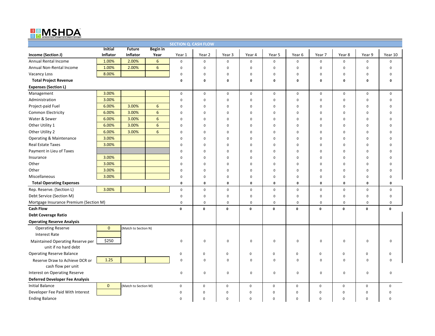# EMSHDA

|                                        |                |                      |                 | <b>SECTION Q. CASH FLOW</b> |              |             |                     |              |             |                     |             |                     |              |
|----------------------------------------|----------------|----------------------|-----------------|-----------------------------|--------------|-------------|---------------------|--------------|-------------|---------------------|-------------|---------------------|--------------|
|                                        | <b>Initial</b> | <b>Future</b>        | <b>Begin</b> in |                             |              |             |                     |              |             |                     |             |                     |              |
| Income (Section J)                     | Inflator       | Inflator             | Year            | Year 1                      | Year 2       | Year 3      | Year 4              | Year 5       | Year 6      | Year 7              | Year 8      | Year 9              | Year 10      |
| Annual Rental Income                   | 1.00%          | 2.00%                | 6               | $\mathsf 0$                 | $\mathbf 0$  | $\mathbf 0$ | $\mathbf 0$         | $\mathbf 0$  | $\mathbf 0$ | $\mathsf 0$         | $\mathbf 0$ | $\mathbf 0$         | $\mathbf 0$  |
| Annual Non-Rental Income               | 1.00%          | 2.00%                | 6               | $\mathbf 0$                 | $\mathbf 0$  | $\Omega$    | $\mathbf 0$         | $\mathbf 0$  | $\Omega$    | $\mathbf 0$         | $\mathbf 0$ | $\mathbf 0$         | $\Omega$     |
| <b>Vacancy Loss</b>                    | 8.00%          |                      |                 | $\mathbf 0$                 | $\mathbf 0$  | $\mathbf 0$ | $\mathsf 0$         | $\mathbf 0$  | $\mathbf 0$ | $\pmb{0}$           | $\mathsf 0$ | $\pmb{0}$           | $\Omega$     |
| <b>Total Project Revenue</b>           |                |                      |                 | $\mathbf 0$                 | $\mathbf 0$  | $\mathbf 0$ | 0                   | $\pmb{0}$    | $\mathbf 0$ | 0                   | $\mathbf 0$ | $\mathbf 0$         | $\mathbf 0$  |
| <b>Expenses (Section L)</b>            |                |                      |                 |                             |              |             |                     |              |             |                     |             |                     |              |
| Management                             | 3.00%          |                      |                 | $\mathsf 0$                 | $\mathsf 0$  | $\mathsf 0$ | 0                   | $\mathbf 0$  | $\mathsf 0$ | $\mathbf 0$         | $\mathsf 0$ | $\mathbf 0$         | $\mathsf 0$  |
| Administration                         | 3.00%          |                      |                 | $\mathbf 0$                 | $\mathsf 0$  | $\mathbf 0$ | $\mathsf 0$         | $\mathbf 0$  | $\mathsf 0$ | $\mathsf 0$         | $\mathsf 0$ | $\pmb{0}$           | 0            |
| Project-paid Fuel                      | 6.00%          | 3.00%                | 6               | $\mathbf 0$                 | $\Omega$     | $\Omega$    | 0                   | $\mathbf 0$  | $\mathbf 0$ | $\mathbf 0$         | $\mathbf 0$ | $\pmb{0}$           | 0            |
| <b>Common Electricity</b>              | 6.00%          | 3.00%                | 6               | $\mathbf 0$                 | 0            | $\mathbf 0$ | 0                   | $\mathbf 0$  | $\mathbf 0$ | $\mathbf 0$         | 0           | $\mathbf 0$         | $\Omega$     |
| Water & Sewer                          | 6.00%          | 3.00%                | $6\overline{6}$ | $\mathbf 0$                 | 0            | $\mathbf 0$ | 0                   | $\mathbf 0$  | 0           | $\mathbf 0$         | 0           | $\pmb{0}$           | U            |
| Other Utility 1                        | 6.00%          | 3.00%                | $6\phantom{1}$  | $\mathbf 0$                 | 0            | 0           | 0                   | $\mathbf 0$  | 0           | $\mathbf 0$         | 0           | $\mathbf 0$         |              |
| Other Utility 2                        | 6.00%          | 3.00%                | $6\overline{6}$ | $\mathbf 0$                 | 0            | 0           | 0                   | $\mathbf 0$  | 0           | 0                   | 0           | $\mathbf 0$         | n            |
| Operating & Maintenance                | 3.00%          |                      |                 | $\mathbf 0$                 | 0            | $\Omega$    | 0                   | $\mathbf 0$  | $\Omega$    | $\mathbf 0$         | 0           | $\mathbf 0$         | n            |
| <b>Real Estate Taxes</b>               | 3.00%          |                      |                 | $\mathbf 0$                 | $\mathbf 0$  | $\mathbf 0$ | 0                   | $\mathbf{0}$ | $\Omega$    | $\mathbf 0$         | $\mathbf 0$ | $\mathbf 0$         | ŋ            |
| Payment in Lieu of Taxes               |                |                      |                 | $\mathbf 0$                 | $\mathbf 0$  | $\Omega$    | $\mathbf 0$         | $\mathbf 0$  | $\Omega$    | 0                   | 0           | $\mathbf 0$         | ŋ            |
| Insurance                              | 3.00%          |                      |                 | $\mathbf 0$                 | $\mathbf 0$  | $\Omega$    | $\mathbf 0$         | $\mathbf 0$  | $\Omega$    | $\mathbf 0$         | $\mathbf 0$ | $\mathbf 0$         | ŋ            |
| Other                                  | 3.00%          |                      |                 | $\mathbf 0$                 | $\mathsf 0$  | $\Omega$    | $\mathsf 0$         | $\mathbf 0$  | $\Omega$    | $\pmb{0}$           | $\mathsf 0$ | $\mathbf 0$         | n            |
| Other                                  | 3.00%          |                      |                 | $\mathbf 0$                 | $\mathbf 0$  | $\Omega$    | 0                   | $\mathbf 0$  | $\Omega$    | $\mathbf 0$         | $\mathbf 0$ | $\mathbf 0$         | 0            |
| Miscellaneous                          | 3.00%          |                      |                 | $\mathbf 0$                 | $\mathbf 0$  | $\Omega$    | 0                   | $\mathbf 0$  | $\Omega$    | $\mathbf 0$         | $\mathbf 0$ | $\mathbf 0$         | $\Omega$     |
| <b>Total Operating Expenses</b>        |                |                      |                 | $\mathbf 0$                 | 0            | $\mathbf 0$ | 0                   | $\pmb{0}$    | $\mathbf 0$ | 0                   | 0           | $\pmb{0}$           | 0            |
| Rep. Reserve. (Section L)              | 3.00%          |                      |                 | $\mathbf 0$                 | $\mathsf 0$  | $\mathsf 0$ | 0                   | $\mathsf 0$  | $\mathsf 0$ | $\mathsf 0$         | 0           | $\mathbf 0$         | $\mathsf 0$  |
| Debt Service (Section M)               |                |                      |                 | $\mathbf 0$                 | 0            | $\mathbf 0$ | 0                   | $\mathbf 0$  | $\mathbf 0$ | 0                   | $\mathsf 0$ | $\mathbf 0$         | 0            |
| Mortgage Insurance Premium (Section M) |                |                      |                 | $\pmb{0}$                   | 0            | $\mathbf 0$ | $\mathsf{O}\xspace$ | $\mathbf 0$  | $\mathbf 0$ | $\pmb{0}$           | $\mathsf 0$ | $\mathbf 0$         | 0            |
| <b>Cash Flow</b>                       |                |                      |                 | $\mathbf 0$                 | $\mathbf{o}$ | $\mathbf 0$ | $\pmb{0}$           | 0            | $\mathbf 0$ | 0                   | $\mathbf 0$ | $\pmb{0}$           | $\pmb{0}$    |
| <b>Debt Coverage Ratio</b>             |                |                      |                 |                             |              |             |                     |              |             |                     |             |                     |              |
| <b>Operating Reserve Analysis</b>      |                |                      |                 |                             |              |             |                     |              |             |                     |             |                     |              |
| <b>Operating Reserve</b>               | $\mathbf{0}$   | (Match to Section N) |                 |                             |              |             |                     |              |             |                     |             |                     |              |
| <b>Interest Rate</b>                   |                |                      |                 |                             |              |             |                     |              |             |                     |             |                     |              |
| Maintained Operating Reserve per       | \$250          |                      |                 | $\mathbf 0$                 | $\mathsf 0$  | $\mathbf 0$ | $\mathsf{O}\xspace$ | $\mathbf 0$  | $\mathbf 0$ | $\pmb{0}$           | $\mathsf 0$ | $\mathbf 0$         | $\Omega$     |
| unit if no hard debt                   |                |                      |                 |                             |              |             |                     |              |             |                     |             |                     |              |
| <b>Operating Reserve Balance</b>       |                |                      |                 | $\mathbf 0$                 | $\mathbf 0$  | $\mathbf 0$ | $\mathbf 0$         | $\mathsf 0$  | $\mathbf 0$ | $\mathbf 0$         | $\mathbf 0$ | $\mathsf 0$         | $\Omega$     |
| Reserve Draw to Achieve DCR or         | 1.25           |                      |                 | $\mathbf 0$                 | $\mathbf 0$  | $\mathbf 0$ | $\mathsf 0$         | $\mathbf 0$  | $\mathbf 0$ | $\mathsf 0$         | $\mathsf 0$ | $\pmb{0}$           | $\Omega$     |
| cash flow per unit                     |                |                      |                 |                             |              |             |                     |              |             |                     |             |                     |              |
| Interest on Operating Reserve          |                |                      |                 | $\mathbf 0$                 | $\mathsf 0$  | $\mathbf 0$ | 0                   | $\mathbf 0$  | $\mathbf 0$ | $\mathsf 0$         | 0           | $\mathbf 0$         | 0            |
| <b>Deferred Developer Fee Analysis</b> |                |                      |                 |                             |              |             |                     |              |             |                     |             |                     |              |
| <b>Initial Balance</b>                 | $\mathbf{0}$   | (Match to Section M) |                 | $\mathsf{O}\xspace$         | $\mathsf 0$  | $\mathsf 0$ | $\mathsf 0$         | $\mathsf 0$  | $\mathbf 0$ | $\mathsf{O}\xspace$ | $\mathsf 0$ | 0                   | $\mathbf 0$  |
| Developer Fee Paid With Interest       |                |                      |                 | $\Omega$                    | $\mathbf 0$  | $\mathbf 0$ | $\mathsf 0$         | $\mathbf 0$  | $\pmb{0}$   | $\mathbf 0$         | $\mathbf 0$ | 0                   | $\Omega$     |
| <b>Ending Balance</b>                  |                |                      |                 | $\mathsf 0$                 | $\mathbf 0$  | $\mathbf 0$ | $\mathsf 0$         | $\mathsf 0$  | $\mathbf 0$ | $\mathbf 0$         | $\mathbf 0$ | $\mathsf{O}\xspace$ | $\mathbf{0}$ |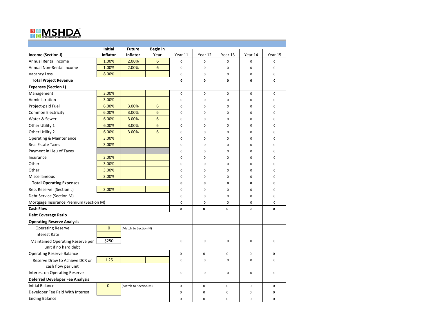## ™

|                                        | <b>Initial</b>  | <b>Future</b>        | <b>Begin</b> in |             |             |             |              |             |
|----------------------------------------|-----------------|----------------------|-----------------|-------------|-------------|-------------|--------------|-------------|
| Income (Section J)                     | <b>Inflator</b> | Inflator             | Year            | Year 11     | Year 12     | Year 13     | Year 14      | Year 15     |
| Annual Rental Income                   | 1.00%           | 2.00%                | 6               | $\mathbf 0$ | 0           | 0           | $\mathbf 0$  | $\mathbf 0$ |
| Annual Non-Rental Income               | 1.00%           | 2.00%                | 6               | $\mathbf 0$ | $\mathbf 0$ | 0           | $\mathbf 0$  | $\mathbf 0$ |
| <b>Vacancy Loss</b>                    | 8.00%           |                      |                 | $\mathbf 0$ | 0           | 0           | $\mathbf 0$  | 0           |
| <b>Total Project Revenue</b>           |                 |                      |                 | 0           | 0           | 0           | 0            | 0           |
| <b>Expenses (Section L)</b>            |                 |                      |                 |             |             |             |              |             |
| Management                             | 3.00%           |                      |                 | $\mathbf 0$ | $\mathbf 0$ | 0           | $\mathbf 0$  | $\mathbf 0$ |
| Administration                         | 3.00%           |                      |                 | $\mathbf 0$ | $\mathbf 0$ | $\mathbf 0$ | $\mathbf 0$  | $\mathbf 0$ |
| Project-paid Fuel                      | 6.00%           | 3.00%                | 6               | $\mathbf 0$ | 0           | 0           | $\mathbf 0$  | $\mathbf 0$ |
| <b>Common Electricity</b>              | 6.00%           | 3.00%                | 6               | $\mathbf 0$ | 0           | 0           | 0            | 0           |
| Water & Sewer                          | 6.00%           | 3.00%                | 6               | $\mathbf 0$ | 0           | 0           | $\mathbf 0$  | 0           |
| Other Utility 1                        | 6.00%           | 3.00%                | 6               | 0           | 0           | 0           | $\mathbf 0$  | $\mathbf 0$ |
| Other Utility 2                        | 6.00%           | 3.00%                | 6               | 0           | 0           | 0           | 0            | $\Omega$    |
| Operating & Maintenance                | 3.00%           |                      |                 | $\mathbf 0$ | 0           | 0           | $\mathbf 0$  | $\Omega$    |
| <b>Real Estate Taxes</b>               | 3.00%           |                      |                 | $\Omega$    | 0           | $\Omega$    | $\mathbf 0$  | $\Omega$    |
| Payment in Lieu of Taxes               |                 |                      |                 | $\mathbf 0$ | $\mathbf 0$ | 0           | $\mathbf 0$  | $\Omega$    |
| Insurance                              | 3.00%           |                      |                 | $\mathbf 0$ | 0           | 0           | 0            | 0           |
| Other                                  | 3.00%           |                      |                 | $\mathbf 0$ | 0           | 0           | $\mathbf 0$  | 0           |
| Other                                  | 3.00%           |                      |                 | 0           | 0           | 0           | $\mathbf 0$  | $\mathbf 0$ |
| Miscellaneous                          | 3.00%           |                      |                 | 0           | 0           | 0           | 0            | 0           |
| <b>Total Operating Expenses</b>        |                 |                      |                 | 0           | 0           | 0           | $\mathbf 0$  | 0           |
| Rep. Reserve. (Section L)              | 3.00%           |                      |                 | $\mathbf 0$ | $\mathbf 0$ | 0           | $\mathbf{0}$ | $\mathbf 0$ |
| Debt Service (Section M)               |                 |                      |                 | $\mathbf 0$ | $\mathbf 0$ | 0           | $\mathbf 0$  | $\mathbf 0$ |
| Mortgage Insurance Premium (Section M) |                 |                      |                 | $\mathbf 0$ | $\mathbf 0$ | 0           | $\mathbf 0$  | $\mathbf 0$ |
| <b>Cash Flow</b>                       |                 |                      |                 | $\mathbf 0$ | 0           | 0           | 0            | $\mathbf 0$ |
| <b>Debt Coverage Ratio</b>             |                 |                      |                 |             |             |             |              |             |
| <b>Operating Reserve Analysis</b>      |                 |                      |                 |             |             |             |              |             |
| <b>Operating Reserve</b>               | $\overline{0}$  | (Match to Section N) |                 |             |             |             |              |             |
| <b>Interest Rate</b>                   |                 |                      |                 |             |             |             |              |             |
| Maintained Operating Reserve per       | \$250           |                      |                 | $\mathbf 0$ | 0           | $\Omega$    | $\Omega$     | $\Omega$    |
| unit if no hard debt                   |                 |                      |                 |             |             |             |              |             |
| <b>Operating Reserve Balance</b>       |                 |                      |                 | 0           | 0           | 0           | $\mathbf 0$  | $\mathbf 0$ |
| Reserve Draw to Achieve DCR or         | 1.25            |                      |                 | $\mathbf 0$ | $\mathbf 0$ | 0           | $\mathbf 0$  | $\Omega$    |
| cash flow per unit                     |                 |                      |                 |             |             |             |              |             |
| Interest on Operating Reserve          |                 |                      |                 | $\mathbf 0$ | $\mathbf 0$ | 0           | $\mathbf 0$  | $\mathbf 0$ |
| <b>Deferred Developer Fee Analysis</b> |                 |                      |                 |             |             |             |              |             |
| <b>Initial Balance</b>                 | $\mathbf 0$     | (Match to Section M) |                 | $\pmb{0}$   | 0           | 0           | $\pmb{0}$    | $\mathbf 0$ |
| Developer Fee Paid With Interest       |                 |                      |                 | 0           | 0           | 0           | 0            | 0           |
| <b>Ending Balance</b>                  |                 |                      |                 | $\Omega$    | 0           | $\Omega$    | 0            | $\Omega$    |
|                                        |                 |                      |                 |             |             |             |              |             |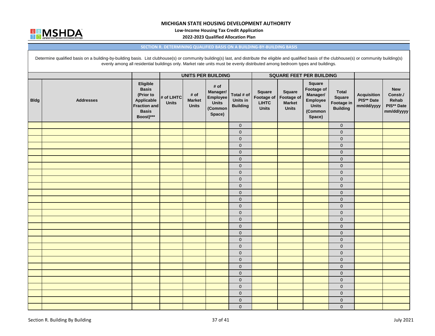

**Low‐Income Housing Tax Credit Application**

**2022‐2023 Qualified Allocation Plan**

#### **SECTION R. DETERMINING QUALIFIED BASIS ON A BUILDING‐BY‐BUILDING BASIS**

Determine qualified basis on a building-by-building basis. List clubhouse(s) or community building(s) last, and distribute the eligible and qualified basis of the clubhouse(s) or community building(s) evenly among all residential buildings only. Market rate units must be evenly distributed among bedroom types and buildings.

|             |                  |                                                                                                         |                            |                                       | <b>UNITS PER BUILDING</b>                                         |                                           |                                        | <b>SQUARE FEET PER BUILDING</b>                                    |                                                                            |                                                                |                                                |                                                             |
|-------------|------------------|---------------------------------------------------------------------------------------------------------|----------------------------|---------------------------------------|-------------------------------------------------------------------|-------------------------------------------|----------------------------------------|--------------------------------------------------------------------|----------------------------------------------------------------------------|----------------------------------------------------------------|------------------------------------------------|-------------------------------------------------------------|
| <b>Bldg</b> | <b>Addresses</b> | Eligible<br><b>Basis</b><br>(Prior to<br>Applicable<br><b>Fraction and</b><br><b>Basis</b><br>Boost)*** | # of LIHTC<br><b>Units</b> | # of<br><b>Market</b><br><b>Units</b> | # of<br>Manager/<br>Employee<br><b>Units</b><br>(Common<br>Space) | Total # of<br>Units in<br><b>Building</b> | Square<br><b>LIHTC</b><br><b>Units</b> | Square<br>Footage of   Footage of<br><b>Market</b><br><b>Units</b> | Square<br>Footage of<br>Manager/<br>Employee<br>Units<br>(Common<br>Space) | <b>Total</b><br><b>Square</b><br>Footage in<br><b>Building</b> | <b>Acquisition</b><br>PIS** Date<br>mm/dd/yyyy | <b>New</b><br>Constr./<br>Rehab<br>PIS** Date<br>mm/dd/yyyy |
|             |                  |                                                                                                         |                            |                                       |                                                                   | $\mathbf 0$                               |                                        |                                                                    |                                                                            | $\mathbf 0$                                                    |                                                |                                                             |
|             |                  |                                                                                                         |                            |                                       |                                                                   | $\mathbf 0$                               |                                        |                                                                    |                                                                            | $\mathbf 0$                                                    |                                                |                                                             |
|             |                  |                                                                                                         |                            |                                       |                                                                   | $\mathbf 0$                               |                                        |                                                                    |                                                                            | $\mathsf{O}\xspace$                                            |                                                |                                                             |
|             |                  |                                                                                                         |                            |                                       |                                                                   | $\pmb{0}$                                 |                                        |                                                                    |                                                                            | $\mathsf{O}\xspace$                                            |                                                |                                                             |
|             |                  |                                                                                                         |                            |                                       |                                                                   | $\pmb{0}$                                 |                                        |                                                                    |                                                                            | $\mathsf{O}\xspace$                                            |                                                |                                                             |
|             |                  |                                                                                                         |                            |                                       |                                                                   | $\pmb{0}$                                 |                                        |                                                                    |                                                                            | $\mathsf{O}\xspace$                                            |                                                |                                                             |
|             |                  |                                                                                                         |                            |                                       |                                                                   | $\mathbf 0$                               |                                        |                                                                    |                                                                            | $\mathsf{O}\xspace$                                            |                                                |                                                             |
|             |                  |                                                                                                         |                            |                                       |                                                                   | $\mathbf 0$                               |                                        |                                                                    |                                                                            | $\mathbf 0$                                                    |                                                |                                                             |
|             |                  |                                                                                                         |                            |                                       |                                                                   | $\mathbf 0$                               |                                        |                                                                    |                                                                            | $\mathbf 0$                                                    |                                                |                                                             |
|             |                  |                                                                                                         |                            |                                       |                                                                   | $\mathbf 0$                               |                                        |                                                                    |                                                                            | $\mathbf 0$                                                    |                                                |                                                             |
|             |                  |                                                                                                         |                            |                                       |                                                                   | $\mathbf 0$                               |                                        |                                                                    |                                                                            | $\mathbf 0$                                                    |                                                |                                                             |
|             |                  |                                                                                                         |                            |                                       |                                                                   | $\pmb{0}$                                 |                                        |                                                                    |                                                                            | $\pmb{0}$                                                      |                                                |                                                             |
|             |                  |                                                                                                         |                            |                                       |                                                                   | $\mathbf 0$                               |                                        |                                                                    |                                                                            | $\mathsf{O}\xspace$                                            |                                                |                                                             |
|             |                  |                                                                                                         |                            |                                       |                                                                   | $\pmb{0}$                                 |                                        |                                                                    |                                                                            | $\mathbf 0$                                                    |                                                |                                                             |
|             |                  |                                                                                                         |                            |                                       |                                                                   | $\mathbf 0$                               |                                        |                                                                    |                                                                            | $\mathbf 0$                                                    |                                                |                                                             |
|             |                  |                                                                                                         |                            |                                       |                                                                   | $\mathbf 0$                               |                                        |                                                                    |                                                                            | $\mathbf 0$                                                    |                                                |                                                             |
|             |                  |                                                                                                         |                            |                                       |                                                                   | $\mathbf 0$                               |                                        |                                                                    |                                                                            | $\mathbf 0$                                                    |                                                |                                                             |
|             |                  |                                                                                                         |                            |                                       |                                                                   | $\mathbf 0$                               |                                        |                                                                    |                                                                            | $\mathbf 0$                                                    |                                                |                                                             |
|             |                  |                                                                                                         |                            |                                       |                                                                   | $\pmb{0}$                                 |                                        |                                                                    |                                                                            | $\mathbf 0$                                                    |                                                |                                                             |
|             |                  |                                                                                                         |                            |                                       |                                                                   | $\pmb{0}$                                 |                                        |                                                                    |                                                                            | $\mathbf 0$                                                    |                                                |                                                             |
|             |                  |                                                                                                         |                            |                                       |                                                                   | $\pmb{0}$                                 |                                        |                                                                    |                                                                            | $\mathbf 0$                                                    |                                                |                                                             |
|             |                  |                                                                                                         |                            |                                       |                                                                   | $\mathbf 0$                               |                                        |                                                                    |                                                                            | $\mathbf 0$                                                    |                                                |                                                             |
|             |                  |                                                                                                         |                            |                                       |                                                                   | $\mathbf 0$                               |                                        |                                                                    |                                                                            | $\mathbf 0$                                                    |                                                |                                                             |
|             |                  |                                                                                                         |                            |                                       |                                                                   | $\mathbf 0$                               |                                        |                                                                    |                                                                            | $\mathbf 0$                                                    |                                                |                                                             |
|             |                  |                                                                                                         |                            |                                       |                                                                   | $\mathbf 0$                               |                                        |                                                                    |                                                                            | $\mathbf 0$                                                    |                                                |                                                             |
|             |                  |                                                                                                         |                            |                                       |                                                                   | $\mathbf 0$                               |                                        |                                                                    |                                                                            | $\mathbf 0$                                                    |                                                |                                                             |
|             |                  |                                                                                                         |                            |                                       |                                                                   | $\pmb{0}$                                 |                                        |                                                                    |                                                                            | $\mathbf 0$                                                    |                                                |                                                             |
|             |                  |                                                                                                         |                            |                                       |                                                                   | $\mathbf 0$                               |                                        |                                                                    |                                                                            | $\mathbf 0$                                                    |                                                |                                                             |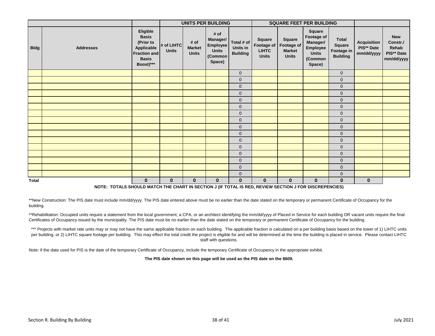|              |                  |                                                                                                         |                            |                                       | <b>UNITS PER BUILDING</b>                                                |                                           |                                                      | <b>SQUARE FEET PER BUILDING</b>                       |                                                                                          |                                                                |                                                |                                                             |
|--------------|------------------|---------------------------------------------------------------------------------------------------------|----------------------------|---------------------------------------|--------------------------------------------------------------------------|-------------------------------------------|------------------------------------------------------|-------------------------------------------------------|------------------------------------------------------------------------------------------|----------------------------------------------------------------|------------------------------------------------|-------------------------------------------------------------|
| <b>Bldg</b>  | <b>Addresses</b> | Eligible<br><b>Basis</b><br>(Prior to<br>Applicable<br><b>Fraction and</b><br><b>Basis</b><br>Boost)*** | # of LIHTC<br><b>Units</b> | # of<br><b>Market</b><br><b>Units</b> | # of<br>Manager/<br><b>Employee</b><br><b>Units</b><br>(Common<br>Space) | Total # of<br>Units in<br><b>Building</b> | Square<br>Footage of<br><b>LIHTC</b><br><b>Units</b> | Square<br>Footage of<br><b>Market</b><br><b>Units</b> | Square<br>Footage of<br>Manager/<br><b>Employee</b><br><b>Units</b><br>(Common<br>Space) | <b>Total</b><br><b>Square</b><br>Footage in<br><b>Building</b> | <b>Acquisition</b><br>PIS** Date<br>mm/dd/yyyy | <b>New</b><br>Constr./<br>Rehab<br>PIS** Date<br>mm/dd/yyyy |
|              |                  |                                                                                                         |                            |                                       |                                                                          | $\mathbf 0$                               |                                                      |                                                       |                                                                                          | $\mathbf 0$                                                    |                                                |                                                             |
|              |                  |                                                                                                         |                            |                                       |                                                                          | $\mathbf 0$                               |                                                      |                                                       |                                                                                          | $\mathbf 0$                                                    |                                                |                                                             |
|              |                  |                                                                                                         |                            |                                       |                                                                          | $\mathbf 0$                               |                                                      |                                                       |                                                                                          | $\mathbf{0}$                                                   |                                                |                                                             |
|              |                  |                                                                                                         |                            |                                       |                                                                          | $\mathbf 0$                               |                                                      |                                                       |                                                                                          | $\mathbf{0}$                                                   |                                                |                                                             |
|              |                  |                                                                                                         |                            |                                       |                                                                          | $\mathbf 0$                               |                                                      |                                                       |                                                                                          | $\mathbf 0$                                                    |                                                |                                                             |
|              |                  |                                                                                                         |                            |                                       |                                                                          | $\mathbf 0$                               |                                                      |                                                       |                                                                                          | $\mathbf 0$                                                    |                                                |                                                             |
|              |                  |                                                                                                         |                            |                                       |                                                                          | $\mathbf 0$                               |                                                      |                                                       |                                                                                          | $\mathbf 0$                                                    |                                                |                                                             |
|              |                  |                                                                                                         |                            |                                       |                                                                          | $\mathbf 0$                               |                                                      |                                                       |                                                                                          | $\mathbf 0$                                                    |                                                |                                                             |
|              |                  |                                                                                                         |                            |                                       |                                                                          | $\mathbf 0$                               |                                                      |                                                       |                                                                                          | $\mathbf 0$                                                    |                                                |                                                             |
|              |                  |                                                                                                         |                            |                                       |                                                                          | $\mathbf 0$                               |                                                      |                                                       |                                                                                          | $\mathbf 0$                                                    |                                                |                                                             |
|              |                  |                                                                                                         |                            |                                       |                                                                          | $\mathbf 0$                               |                                                      |                                                       |                                                                                          | $\mathbf{0}$                                                   |                                                |                                                             |
|              |                  |                                                                                                         |                            |                                       |                                                                          | $\mathbf 0$                               |                                                      |                                                       |                                                                                          | $\mathbf 0$                                                    |                                                |                                                             |
|              |                  |                                                                                                         |                            |                                       |                                                                          | $\mathbf 0$                               |                                                      |                                                       |                                                                                          | $\mathbf 0$                                                    |                                                |                                                             |
|              |                  |                                                                                                         |                            |                                       |                                                                          | $\mathbf 0$                               |                                                      |                                                       |                                                                                          | $\mathbf 0$                                                    |                                                |                                                             |
|              |                  |                                                                                                         |                            |                                       |                                                                          | $\mathbf 0$                               |                                                      |                                                       |                                                                                          | $\mathbf 0$                                                    |                                                |                                                             |
|              |                  |                                                                                                         |                            |                                       |                                                                          | $\mathbf 0$                               |                                                      |                                                       |                                                                                          | $\mathbf 0$                                                    |                                                |                                                             |
| <b>Total</b> |                  | $\mathbf 0$                                                                                             | $\mathbf 0$                | $\mathbf 0$                           | $\mathbf 0$                                                              | $\mathbf 0$                               | $\mathbf 0$                                          | $\mathbf 0$                                           | $\mathbf 0$                                                                              | $\mathbf 0$                                                    | $\mathbf 0$                                    |                                                             |

**NOTE: TOTALS SHOULD MATCH THE CHART IN SECTION J (IF TOTAL IS RED, REVIEW SECTION J FOR DISCREPENCIES)**

\*\*New Construction: The PIS date must include mm/dd/yyyy. The PIS date entered above must be no earlier than the date stated on the temporary or permanent Certificate of Occupancy for the building.

\*\*Rehabilitation: Occupied units require a statement from the local government, a CPA, or an architect identifying the mm/dd/yyyy of Placed in Service for each building OR vacant units require the final Certificates of Occupancy issued by the municipality. The PIS date must be no earlier than the date stated on the temporary or permanent Certificate of Occupancy for the building.

\*\*\* Projects with market rate units may or may not have the same applicable fraction on each building. The applicable fraction is calculated on a per building basis based on the lower of 1) LIHTC units per building, or 2) LIHTC square footage per building. This may effect the total credit the project is eligible for and will be determined at the time the building is placed in service. Please contact LIHTC staff with questions.

Note: if the date used for PIS is the date of the temporary Certificate of Occupancy, include the temporary Certificate of Occupancy in the appropriate exhibit.

**The PIS date shown on this page will be used as the PIS date on the 8609.**